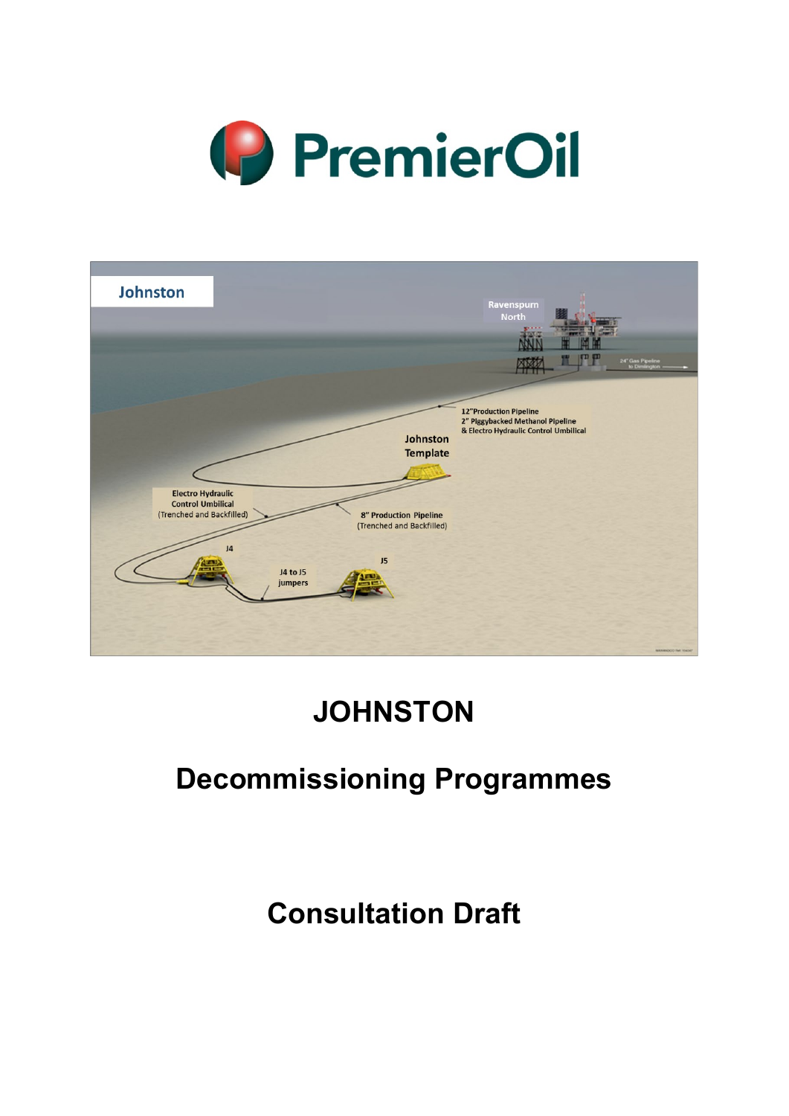

| Johnston                                                                          |                                       |                                                                                           | Ravenspurn<br><b>North</b><br>r mp<br>24" Gas Pipeline<br>to Dimington<br>网络                               |
|-----------------------------------------------------------------------------------|---------------------------------------|-------------------------------------------------------------------------------------------|------------------------------------------------------------------------------------------------------------|
| <b>Electro Hydraulic</b><br><b>Control Umbilical</b><br>(Trenched and Backfilled) |                                       | Johnston<br><b>Template</b><br><b>8" Production Pipeline</b><br>(Trenched and Backfilled) | <b>12"Production Pipeline</b><br>2" Piggybacked Methanol Pipeline<br>& Electro Hydraulic Control Umbilical |
|                                                                                   | J <sub>4</sub><br>J4 to J5<br>jumpers | J5                                                                                        | MAXABOO Felt Visitor                                                                                       |

# **JOHNSTON**

## **Decommissioning Programmes**

# **Consultation Draft**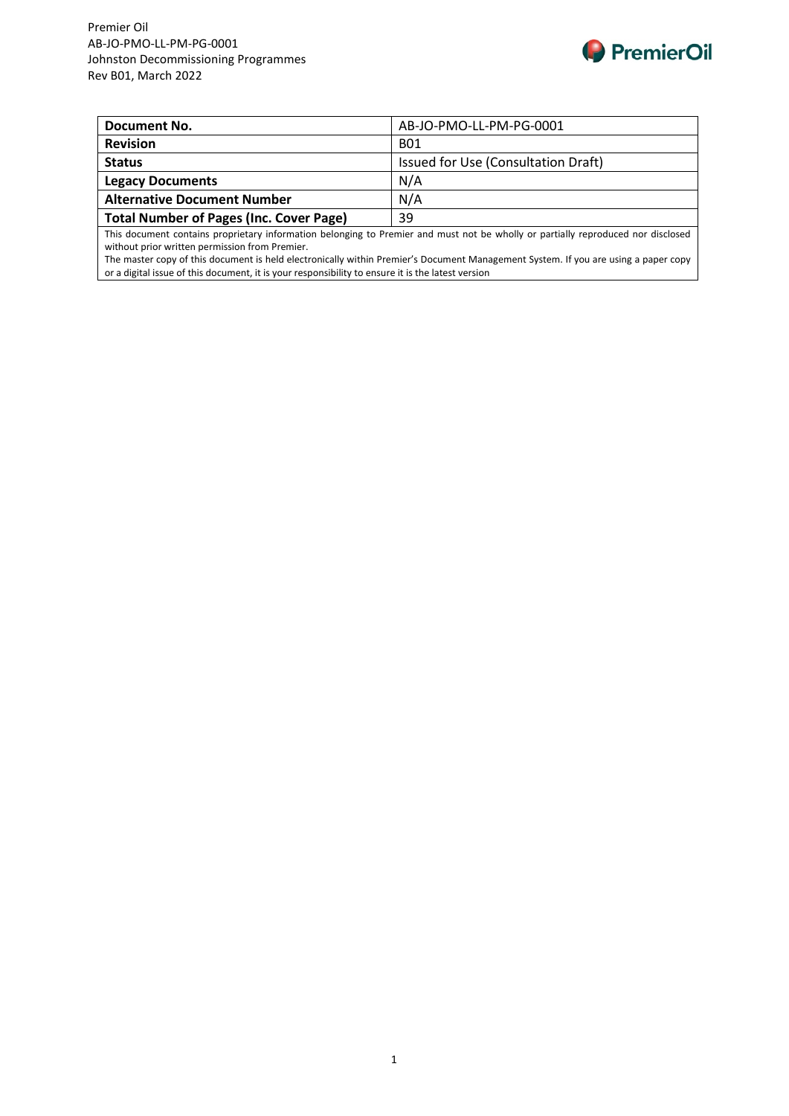

| Document No.                                   | AB-JO-PMO-LL-PM-PG-0001             |
|------------------------------------------------|-------------------------------------|
| <b>Revision</b>                                | <b>B01</b>                          |
| <b>Status</b>                                  | Issued for Use (Consultation Draft) |
| <b>Legacy Documents</b>                        | N/A                                 |
| <b>Alternative Document Number</b>             | N/A                                 |
| <b>Total Number of Pages (Inc. Cover Page)</b> | 39                                  |

This document contains proprietary information belonging to Premier and must not be wholly or partially reproduced nor disclosed without prior written permission from Premier.

The master copy of this document is held electronically within Premier's Document Management System. If you are using a paper copy or a digital issue of this document, it is your responsibility to ensure it is the latest version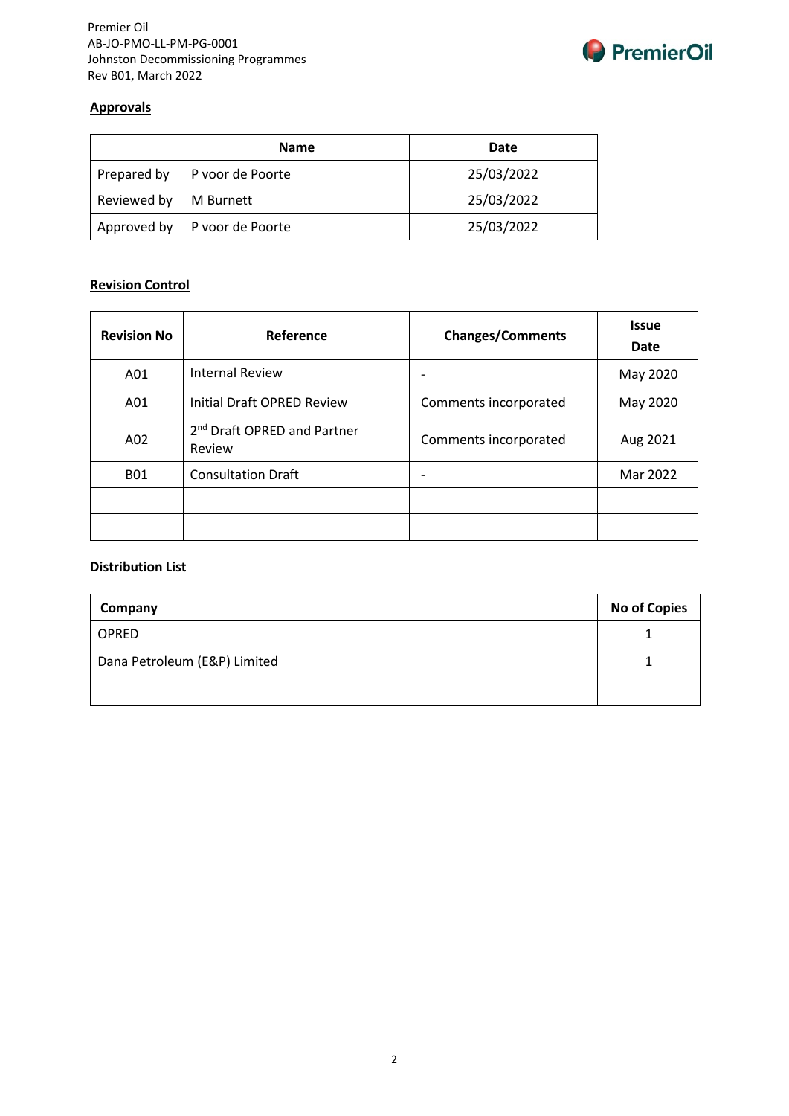

#### **Approvals**

|             | <b>Name</b>      | Date       |
|-------------|------------------|------------|
| Prepared by | P voor de Poorte | 25/03/2022 |
| Reviewed by | M Burnett        | 25/03/2022 |
| Approved by | P voor de Poorte | 25/03/2022 |

## **Revision Control**

| <b>Revision No</b> | Reference                                         | <b>Changes/Comments</b> | <b>Issue</b><br>Date |
|--------------------|---------------------------------------------------|-------------------------|----------------------|
| A01                | <b>Internal Review</b>                            |                         | May 2020             |
| A01                | Initial Draft OPRED Review                        | Comments incorporated   | May 2020             |
| A02                | 2 <sup>nd</sup> Draft OPRED and Partner<br>Review | Comments incorporated   | Aug 2021             |
| <b>B01</b>         | <b>Consultation Draft</b>                         |                         | Mar 2022             |
|                    |                                                   |                         |                      |
|                    |                                                   |                         |                      |

#### **Distribution List**

| Company                      | <b>No of Copies</b> |
|------------------------------|---------------------|
| <b>OPRED</b>                 |                     |
| Dana Petroleum (E&P) Limited |                     |
|                              |                     |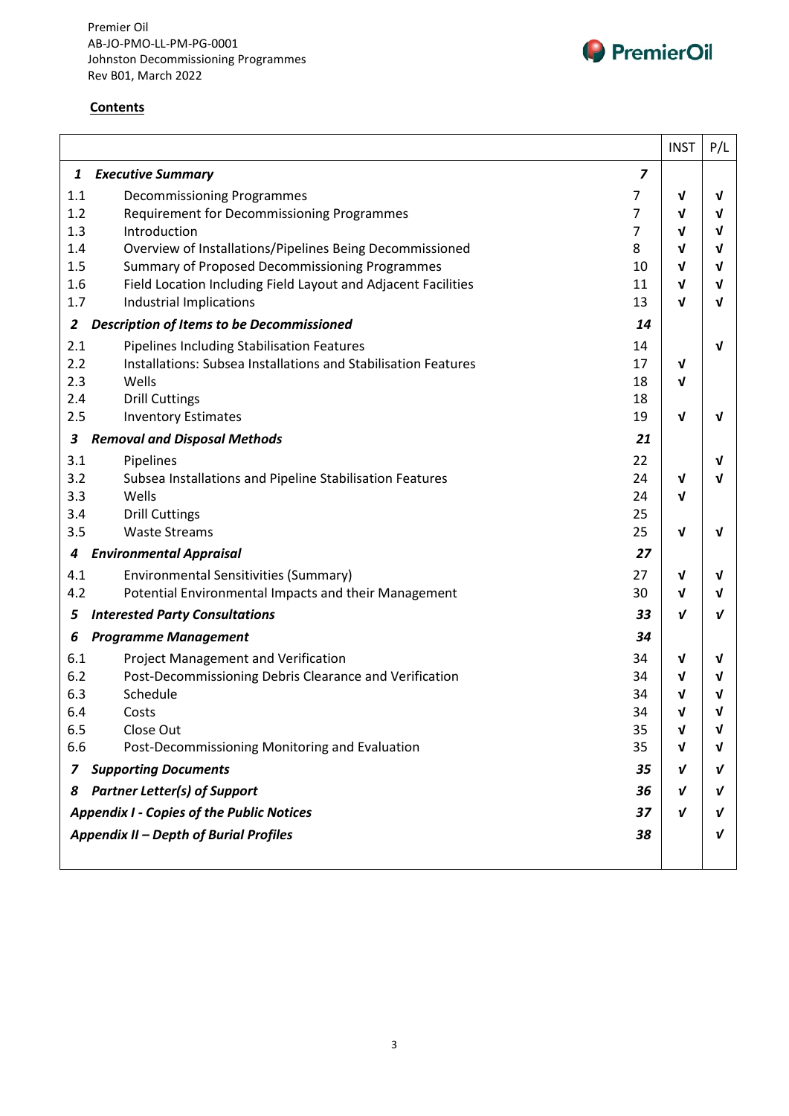



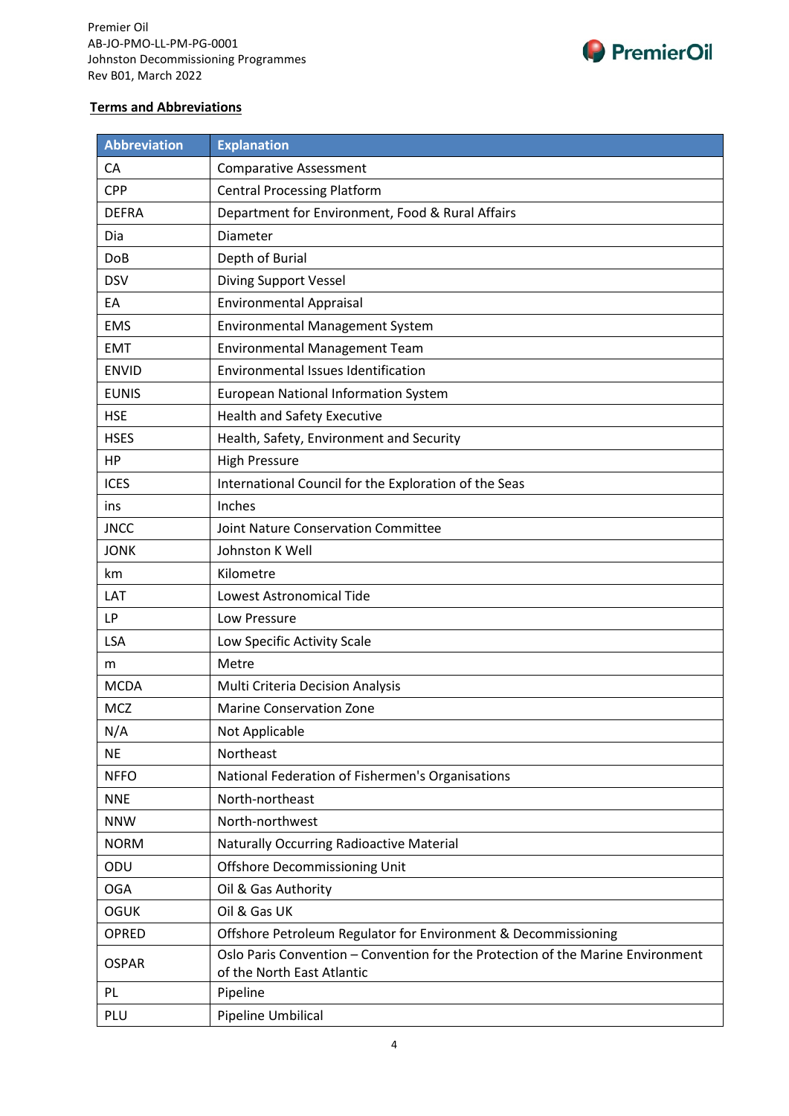

#### **Terms and Abbreviations**

| <b>Abbreviation</b> | <b>Explanation</b>                                                                                            |
|---------------------|---------------------------------------------------------------------------------------------------------------|
| CA                  | <b>Comparative Assessment</b>                                                                                 |
| <b>CPP</b>          | <b>Central Processing Platform</b>                                                                            |
| <b>DEFRA</b>        | Department for Environment, Food & Rural Affairs                                                              |
| Dia                 | Diameter                                                                                                      |
| DoB                 | Depth of Burial                                                                                               |
| <b>DSV</b>          | <b>Diving Support Vessel</b>                                                                                  |
| EA                  | <b>Environmental Appraisal</b>                                                                                |
| <b>EMS</b>          | <b>Environmental Management System</b>                                                                        |
| <b>EMT</b>          | <b>Environmental Management Team</b>                                                                          |
| <b>ENVID</b>        | Environmental Issues Identification                                                                           |
| <b>EUNIS</b>        | <b>European National Information System</b>                                                                   |
| <b>HSE</b>          | <b>Health and Safety Executive</b>                                                                            |
| <b>HSES</b>         | Health, Safety, Environment and Security                                                                      |
| HP                  | <b>High Pressure</b>                                                                                          |
| <b>ICES</b>         | International Council for the Exploration of the Seas                                                         |
| ins                 | Inches                                                                                                        |
| <b>JNCC</b>         | Joint Nature Conservation Committee                                                                           |
| <b>JONK</b>         | Johnston K Well                                                                                               |
| km                  | Kilometre                                                                                                     |
| LAT                 | <b>Lowest Astronomical Tide</b>                                                                               |
| <b>LP</b>           | Low Pressure                                                                                                  |
| LSA                 | Low Specific Activity Scale                                                                                   |
| m                   | Metre                                                                                                         |
| <b>MCDA</b>         | Multi Criteria Decision Analysis                                                                              |
| <b>MCZ</b>          | <b>Marine Conservation Zone</b>                                                                               |
| N/A                 | Not Applicable                                                                                                |
| <b>NE</b>           | Northeast                                                                                                     |
| <b>NFFO</b>         | National Federation of Fishermen's Organisations                                                              |
| <b>NNE</b>          | North-northeast                                                                                               |
| <b>NNW</b>          | North-northwest                                                                                               |
| <b>NORM</b>         | <b>Naturally Occurring Radioactive Material</b>                                                               |
| ODU                 | <b>Offshore Decommissioning Unit</b>                                                                          |
| <b>OGA</b>          | Oil & Gas Authority                                                                                           |
| <b>OGUK</b>         | Oil & Gas UK                                                                                                  |
| OPRED               | Offshore Petroleum Regulator for Environment & Decommissioning                                                |
| <b>OSPAR</b>        | Oslo Paris Convention - Convention for the Protection of the Marine Environment<br>of the North East Atlantic |
| PL                  | Pipeline                                                                                                      |
| PLU                 | Pipeline Umbilical                                                                                            |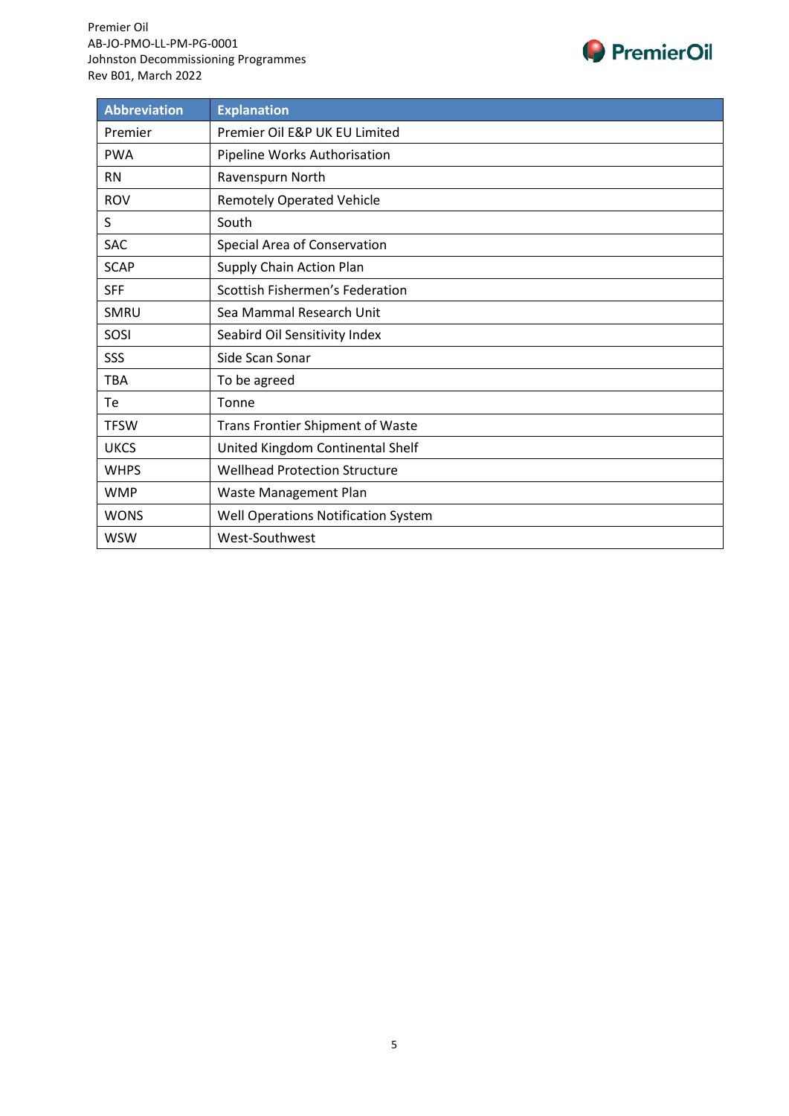

| <b>Abbreviation</b> | <b>Explanation</b>                      |
|---------------------|-----------------------------------------|
| Premier             | Premier Oil E&P UK EU Limited           |
| <b>PWA</b>          | Pipeline Works Authorisation            |
| <b>RN</b>           | Ravenspurn North                        |
| <b>ROV</b>          | <b>Remotely Operated Vehicle</b>        |
| S                   | South                                   |
| <b>SAC</b>          | Special Area of Conservation            |
| <b>SCAP</b>         | Supply Chain Action Plan                |
| <b>SFF</b>          | Scottish Fishermen's Federation         |
| SMRU                | Sea Mammal Research Unit                |
| SOSI                | Seabird Oil Sensitivity Index           |
| SSS                 | Side Scan Sonar                         |
| <b>TBA</b>          | To be agreed                            |
| Te                  | Tonne                                   |
| <b>TFSW</b>         | <b>Trans Frontier Shipment of Waste</b> |
| <b>UKCS</b>         | United Kingdom Continental Shelf        |
| <b>WHPS</b>         | <b>Wellhead Protection Structure</b>    |
| <b>WMP</b>          | Waste Management Plan                   |
| <b>WONS</b>         | Well Operations Notification System     |
| <b>WSW</b>          | West-Southwest                          |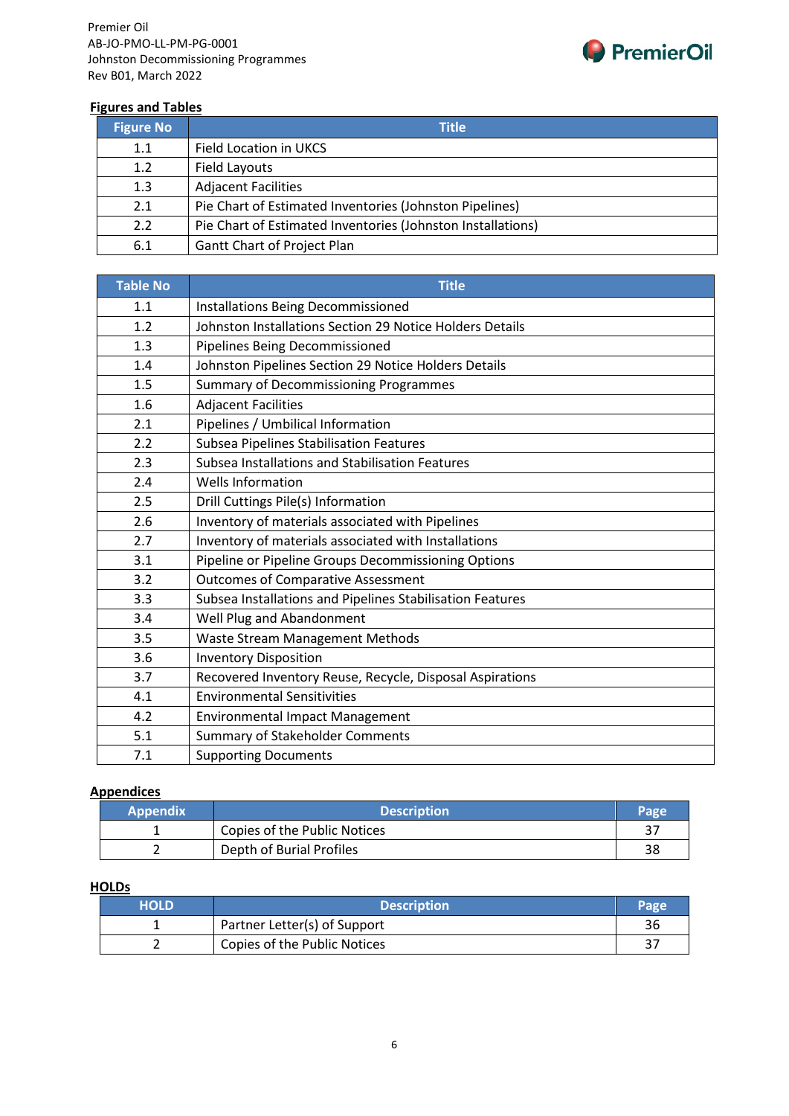

#### **Figures and Tables**

| <b>Figure No</b> | <b>Title</b>                                                |
|------------------|-------------------------------------------------------------|
| 1.1              | Field Location in UKCS                                      |
| 1.2              | Field Layouts                                               |
| 1.3              | <b>Adjacent Facilities</b>                                  |
| 2.1              | Pie Chart of Estimated Inventories (Johnston Pipelines)     |
| 2.2              | Pie Chart of Estimated Inventories (Johnston Installations) |
| 6.1              | Gantt Chart of Project Plan                                 |

| <b>Table No</b> | <b>Title</b>                                              |
|-----------------|-----------------------------------------------------------|
| 1.1             | Installations Being Decommissioned                        |
| 1.2             | Johnston Installations Section 29 Notice Holders Details  |
| 1.3             | Pipelines Being Decommissioned                            |
| 1.4             | Johnston Pipelines Section 29 Notice Holders Details      |
| 1.5             | <b>Summary of Decommissioning Programmes</b>              |
| 1.6             | <b>Adjacent Facilities</b>                                |
| 2.1             | Pipelines / Umbilical Information                         |
| 2.2             | <b>Subsea Pipelines Stabilisation Features</b>            |
| 2.3             | Subsea Installations and Stabilisation Features           |
| 2.4             | <b>Wells Information</b>                                  |
| 2.5             | Drill Cuttings Pile(s) Information                        |
| 2.6             | Inventory of materials associated with Pipelines          |
| 2.7             | Inventory of materials associated with Installations      |
| 3.1             | Pipeline or Pipeline Groups Decommissioning Options       |
| 3.2             | <b>Outcomes of Comparative Assessment</b>                 |
| 3.3             | Subsea Installations and Pipelines Stabilisation Features |
| 3.4             | Well Plug and Abandonment                                 |
| 3.5             | Waste Stream Management Methods                           |
| 3.6             | <b>Inventory Disposition</b>                              |
| 3.7             | Recovered Inventory Reuse, Recycle, Disposal Aspirations  |
| 4.1             | <b>Environmental Sensitivities</b>                        |
| 4.2             | <b>Environmental Impact Management</b>                    |
| 5.1             | <b>Summary of Stakeholder Comments</b>                    |
| 7.1             | <b>Supporting Documents</b>                               |

#### **Appendices**

| <b>Appendix</b> | <b>Description</b>           |    |
|-----------------|------------------------------|----|
|                 | Copies of the Public Notices |    |
|                 | Depth of Burial Profiles     | 38 |

#### **HOLDs**

| <b>HOLD</b> | <b>Description</b>           |    |
|-------------|------------------------------|----|
|             | Partner Letter(s) of Support | 36 |
|             | Copies of the Public Notices | n- |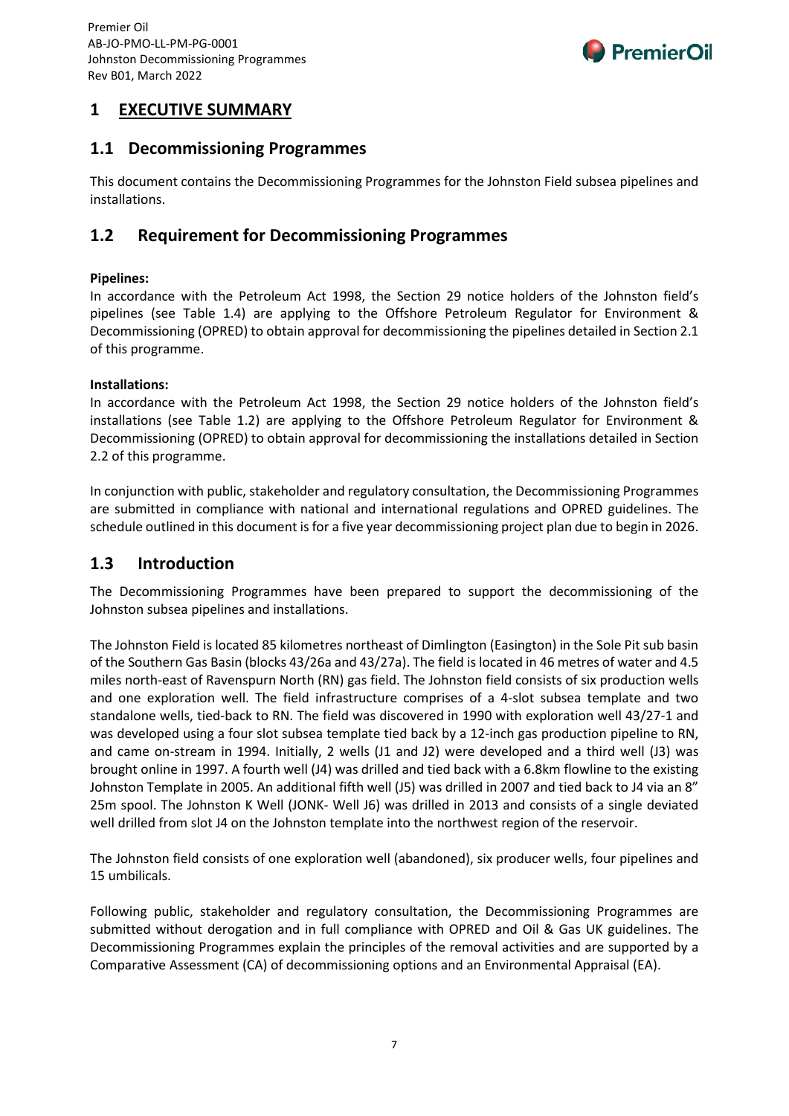

## **1 EXECUTIVE SUMMARY**

## **1.1 Decommissioning Programmes**

This document contains the Decommissioning Programmes for the Johnston Field subsea pipelines and installations.

## **1.2 Requirement for Decommissioning Programmes**

#### **Pipelines:**

In accordance with the Petroleum Act 1998, the Section 29 notice holders of the Johnston field's pipelines (see Table 1.4) are applying to the Offshore Petroleum Regulator for Environment & Decommissioning (OPRED) to obtain approval for decommissioning the pipelines detailed in Section 2.1 of this programme.

#### **Installations:**

In accordance with the Petroleum Act 1998, the Section 29 notice holders of the Johnston field's installations (see Table 1.2) are applying to the Offshore Petroleum Regulator for Environment & Decommissioning (OPRED) to obtain approval for decommissioning the installations detailed in Section 2.2 of this programme.

In conjunction with public, stakeholder and regulatory consultation, the Decommissioning Programmes are submitted in compliance with national and international regulations and OPRED guidelines. The schedule outlined in this document is for a five year decommissioning project plan due to begin in 2026.

### **1.3 Introduction**

The Decommissioning Programmes have been prepared to support the decommissioning of the Johnston subsea pipelines and installations.

The Johnston Field is located 85 kilometres northeast of Dimlington (Easington) in the Sole Pit sub basin of the Southern Gas Basin (blocks 43/26a and 43/27a). The field is located in 46 metres of water and 4.5 miles north-east of Ravenspurn North (RN) gas field. The Johnston field consists of six production wells and one exploration well. The field infrastructure comprises of a 4-slot subsea template and two standalone wells, tied-back to RN. The field was discovered in 1990 with exploration well 43/27-1 and was developed using a four slot subsea template tied back by a 12-inch gas production pipeline to RN, and came on-stream in 1994. Initially, 2 wells (J1 and J2) were developed and a third well (J3) was brought online in 1997. A fourth well (J4) was drilled and tied back with a 6.8km flowline to the existing Johnston Template in 2005. An additional fifth well (J5) was drilled in 2007 and tied back to J4 via an 8" 25m spool. The Johnston K Well (JONK- Well J6) was drilled in 2013 and consists of a single deviated well drilled from slot J4 on the Johnston template into the northwest region of the reservoir.

The Johnston field consists of one exploration well (abandoned), six producer wells, four pipelines and 15 umbilicals.

Following public, stakeholder and regulatory consultation, the Decommissioning Programmes are submitted without derogation and in full compliance with OPRED and Oil & Gas UK guidelines. The Decommissioning Programmes explain the principles of the removal activities and are supported by a Comparative Assessment (CA) of decommissioning options and an Environmental Appraisal (EA).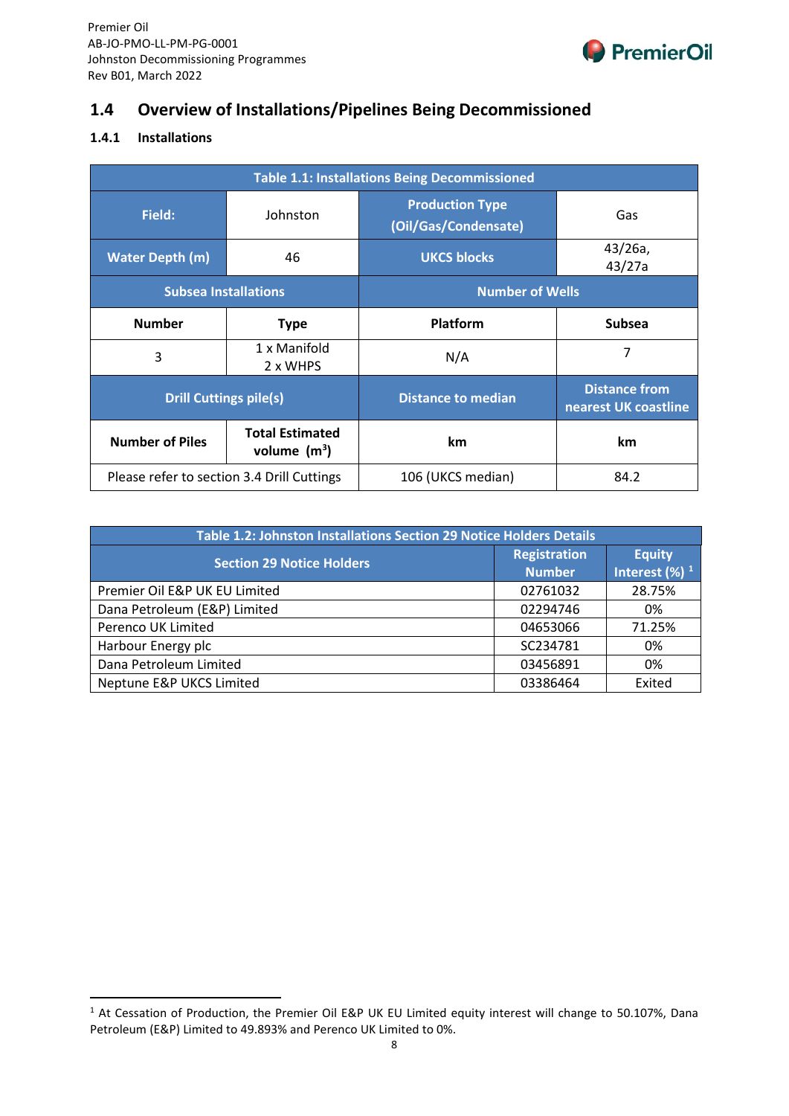

## **1.4 Overview of Installations/Pipelines Being Decommissioned**

#### **1.4.1 Installations**

| <b>Table 1.1: Installations Being Decommissioned</b> |                                          |                                                |                                              |
|------------------------------------------------------|------------------------------------------|------------------------------------------------|----------------------------------------------|
| Field:                                               | Johnston                                 | <b>Production Type</b><br>(Oil/Gas/Condensate) | Gas                                          |
| <b>Water Depth (m)</b>                               | 46                                       | <b>UKCS blocks</b>                             | $43/26a$ ,<br>43/27a                         |
| <b>Subsea Installations</b>                          |                                          | <b>Number of Wells</b>                         |                                              |
| <b>Number</b>                                        | <b>Type</b>                              | <b>Platform</b>                                | <b>Subsea</b>                                |
| 3                                                    | 1 x Manifold<br>2 x WHPS                 | N/A                                            | 7                                            |
| <b>Drill Cuttings pile(s)</b>                        |                                          | <b>Distance to median</b>                      | <b>Distance from</b><br>nearest UK coastline |
| <b>Number of Piles</b>                               | <b>Total Estimated</b><br>volume $(m^3)$ | km                                             | km                                           |
| Please refer to section 3.4 Drill Cuttings           |                                          | 106 (UKCS median)                              | 84.2                                         |

| Table 1.2: Johnston Installations Section 29 Notice Holders Details |                                      |                                               |  |  |  |  |  |  |
|---------------------------------------------------------------------|--------------------------------------|-----------------------------------------------|--|--|--|--|--|--|
| <b>Section 29 Notice Holders</b>                                    | <b>Registration</b><br><b>Number</b> | <b>Equity</b><br>Interest $(\%)$ <sup>1</sup> |  |  |  |  |  |  |
| Premier Oil E&P UK EU Limited                                       | 02761032                             | 28.75%                                        |  |  |  |  |  |  |
| Dana Petroleum (E&P) Limited                                        | 02294746                             | 0%                                            |  |  |  |  |  |  |
| Perenco UK Limited                                                  | 04653066                             | 71.25%                                        |  |  |  |  |  |  |
| Harbour Energy plc                                                  | SC234781                             | 0%                                            |  |  |  |  |  |  |
| Dana Petroleum Limited                                              | 03456891                             | 0%                                            |  |  |  |  |  |  |
| Neptune E&P UKCS Limited                                            | 03386464                             | Exited                                        |  |  |  |  |  |  |

<span id="page-8-0"></span><sup>&</sup>lt;sup>1</sup> At Cessation of Production, the Premier Oil E&P UK EU Limited equity interest will change to 50.107%, Dana Petroleum (E&P) Limited to 49.893% and Perenco UK Limited to 0%.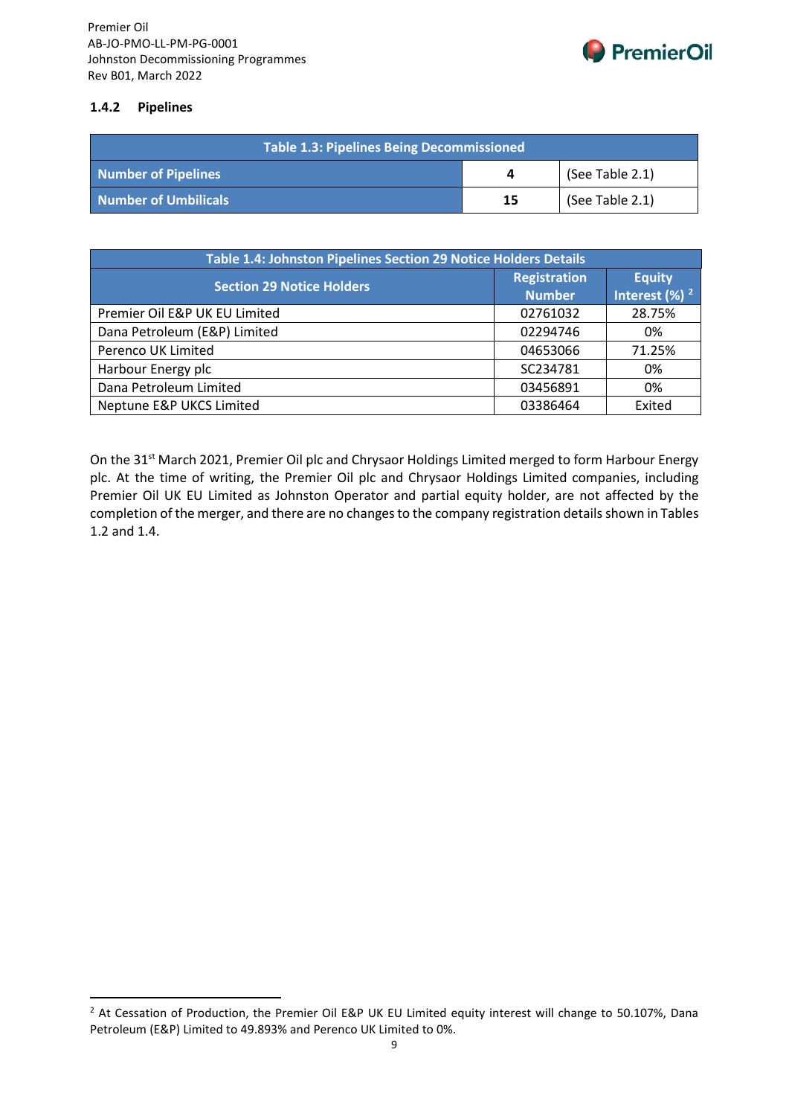

#### **1.4.2 Pipelines**

| Table 1.3: Pipelines Being Decommissioned |    |                 |  |  |  |
|-------------------------------------------|----|-----------------|--|--|--|
| Number of Pipelines                       |    | (See Table 2.1) |  |  |  |
| Number of Umbilicals                      | 15 | (See Table 2.1) |  |  |  |

| Table 1.4: Johnston Pipelines Section 29 Notice Holders Details |                                      |                                               |  |  |  |  |  |  |
|-----------------------------------------------------------------|--------------------------------------|-----------------------------------------------|--|--|--|--|--|--|
| <b>Section 29 Notice Holders</b>                                | <b>Registration</b><br><b>Number</b> | <b>Equity</b><br>Interest $(\%)$ <sup>2</sup> |  |  |  |  |  |  |
| Premier Oil E&P UK EU Limited                                   | 02761032                             | 28.75%                                        |  |  |  |  |  |  |
| Dana Petroleum (E&P) Limited                                    | 02294746                             | 0%                                            |  |  |  |  |  |  |
| Perenco UK Limited                                              | 04653066                             | 71.25%                                        |  |  |  |  |  |  |
| Harbour Energy plc                                              | SC234781                             | 0%                                            |  |  |  |  |  |  |
| Dana Petroleum Limited                                          | 03456891                             | 0%                                            |  |  |  |  |  |  |
| Neptune E&P UKCS Limited                                        | 03386464                             | Exited                                        |  |  |  |  |  |  |

On the 31<sup>st</sup> March 2021, Premier Oil plc and Chrysaor Holdings Limited merged to form Harbour Energy plc. At the time of writing, the Premier Oil plc and Chrysaor Holdings Limited companies, including Premier Oil UK EU Limited as Johnston Operator and partial equity holder, are not affected by the completion of the merger, and there are no changes to the company registration details shown in Tables 1.2 and 1.4.

<span id="page-9-0"></span><sup>&</sup>lt;sup>2</sup> At Cessation of Production, the Premier Oil E&P UK EU Limited equity interest will change to 50.107%, Dana Petroleum (E&P) Limited to 49.893% and Perenco UK Limited to 0%.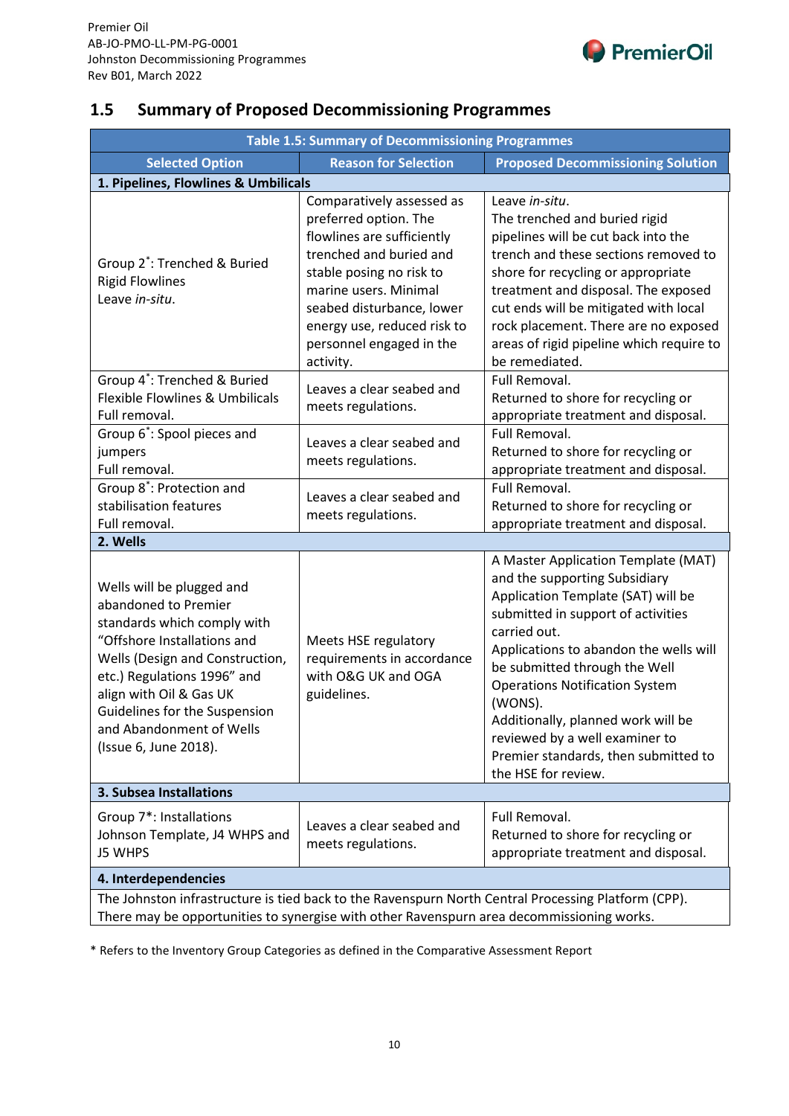

## **1.5 Summary of Proposed Decommissioning Programmes**

| <b>Table 1.5: Summary of Decommissioning Programmes</b>                                                                                                                                                                                                                                            |                                                                                                                                                                                                                                                                       |                                                                                                                                                                                                                                                                                                                                                                                                                                        |  |  |  |  |  |  |  |  |
|----------------------------------------------------------------------------------------------------------------------------------------------------------------------------------------------------------------------------------------------------------------------------------------------------|-----------------------------------------------------------------------------------------------------------------------------------------------------------------------------------------------------------------------------------------------------------------------|----------------------------------------------------------------------------------------------------------------------------------------------------------------------------------------------------------------------------------------------------------------------------------------------------------------------------------------------------------------------------------------------------------------------------------------|--|--|--|--|--|--|--|--|
| <b>Selected Option</b>                                                                                                                                                                                                                                                                             | <b>Reason for Selection</b><br><b>Proposed Decommissioning Solution</b>                                                                                                                                                                                               |                                                                                                                                                                                                                                                                                                                                                                                                                                        |  |  |  |  |  |  |  |  |
| 1. Pipelines, Flowlines & Umbilicals                                                                                                                                                                                                                                                               |                                                                                                                                                                                                                                                                       |                                                                                                                                                                                                                                                                                                                                                                                                                                        |  |  |  |  |  |  |  |  |
| Group 2 <sup>*</sup> : Trenched & Buried<br><b>Rigid Flowlines</b><br>Leave in-situ.                                                                                                                                                                                                               | Comparatively assessed as<br>preferred option. The<br>flowlines are sufficiently<br>trenched and buried and<br>stable posing no risk to<br>marine users. Minimal<br>seabed disturbance, lower<br>energy use, reduced risk to<br>personnel engaged in the<br>activity. | Leave in-situ.<br>The trenched and buried rigid<br>pipelines will be cut back into the<br>trench and these sections removed to<br>shore for recycling or appropriate<br>treatment and disposal. The exposed<br>cut ends will be mitigated with local<br>rock placement. There are no exposed<br>areas of rigid pipeline which require to<br>be remediated.                                                                             |  |  |  |  |  |  |  |  |
| Group 4 <sup>*</sup> : Trenched & Buried<br>Flexible Flowlines & Umbilicals<br>Full removal.                                                                                                                                                                                                       | Leaves a clear seabed and<br>meets regulations.                                                                                                                                                                                                                       | Full Removal.<br>Returned to shore for recycling or<br>appropriate treatment and disposal.                                                                                                                                                                                                                                                                                                                                             |  |  |  |  |  |  |  |  |
| Group 6 <sup>*</sup> : Spool pieces and<br>jumpers<br>Full removal.                                                                                                                                                                                                                                | Leaves a clear seabed and<br>meets regulations.                                                                                                                                                                                                                       | Full Removal.<br>Returned to shore for recycling or<br>appropriate treatment and disposal.                                                                                                                                                                                                                                                                                                                                             |  |  |  |  |  |  |  |  |
| Group 8 <sup>*</sup> : Protection and<br>stabilisation features<br>Full removal.                                                                                                                                                                                                                   | Leaves a clear seabed and<br>meets regulations.                                                                                                                                                                                                                       | Full Removal.<br>Returned to shore for recycling or<br>appropriate treatment and disposal.                                                                                                                                                                                                                                                                                                                                             |  |  |  |  |  |  |  |  |
| 2. Wells                                                                                                                                                                                                                                                                                           |                                                                                                                                                                                                                                                                       |                                                                                                                                                                                                                                                                                                                                                                                                                                        |  |  |  |  |  |  |  |  |
| Wells will be plugged and<br>abandoned to Premier<br>standards which comply with<br>"Offshore Installations and<br>Wells (Design and Construction,<br>etc.) Regulations 1996" and<br>align with Oil & Gas UK<br>Guidelines for the Suspension<br>and Abandonment of Wells<br>(Issue 6, June 2018). | Meets HSE regulatory<br>requirements in accordance<br>with O&G UK and OGA<br>guidelines.                                                                                                                                                                              | A Master Application Template (MAT)<br>and the supporting Subsidiary<br>Application Template (SAT) will be<br>submitted in support of activities<br>carried out.<br>Applications to abandon the wells will<br>be submitted through the Well<br><b>Operations Notification System</b><br>(WONS).<br>Additionally, planned work will be<br>reviewed by a well examiner to<br>Premier standards, then submitted to<br>the HSE for review. |  |  |  |  |  |  |  |  |
| 3. Subsea Installations                                                                                                                                                                                                                                                                            |                                                                                                                                                                                                                                                                       |                                                                                                                                                                                                                                                                                                                                                                                                                                        |  |  |  |  |  |  |  |  |
| Group 7*: Installations<br>Johnson Template, J4 WHPS and<br>J5 WHPS                                                                                                                                                                                                                                | Leaves a clear seabed and<br>meets regulations.                                                                                                                                                                                                                       | Full Removal.<br>Returned to shore for recycling or<br>appropriate treatment and disposal.                                                                                                                                                                                                                                                                                                                                             |  |  |  |  |  |  |  |  |
| 4. Interdependencies                                                                                                                                                                                                                                                                               |                                                                                                                                                                                                                                                                       |                                                                                                                                                                                                                                                                                                                                                                                                                                        |  |  |  |  |  |  |  |  |
| There may be opportunities to synergise with other Ravenspurn area decommissioning works.                                                                                                                                                                                                          |                                                                                                                                                                                                                                                                       | The Johnston infrastructure is tied back to the Ravenspurn North Central Processing Platform (CPP).                                                                                                                                                                                                                                                                                                                                    |  |  |  |  |  |  |  |  |

\* Refers to the Inventory Group Categories as defined in the Comparative Assessment Report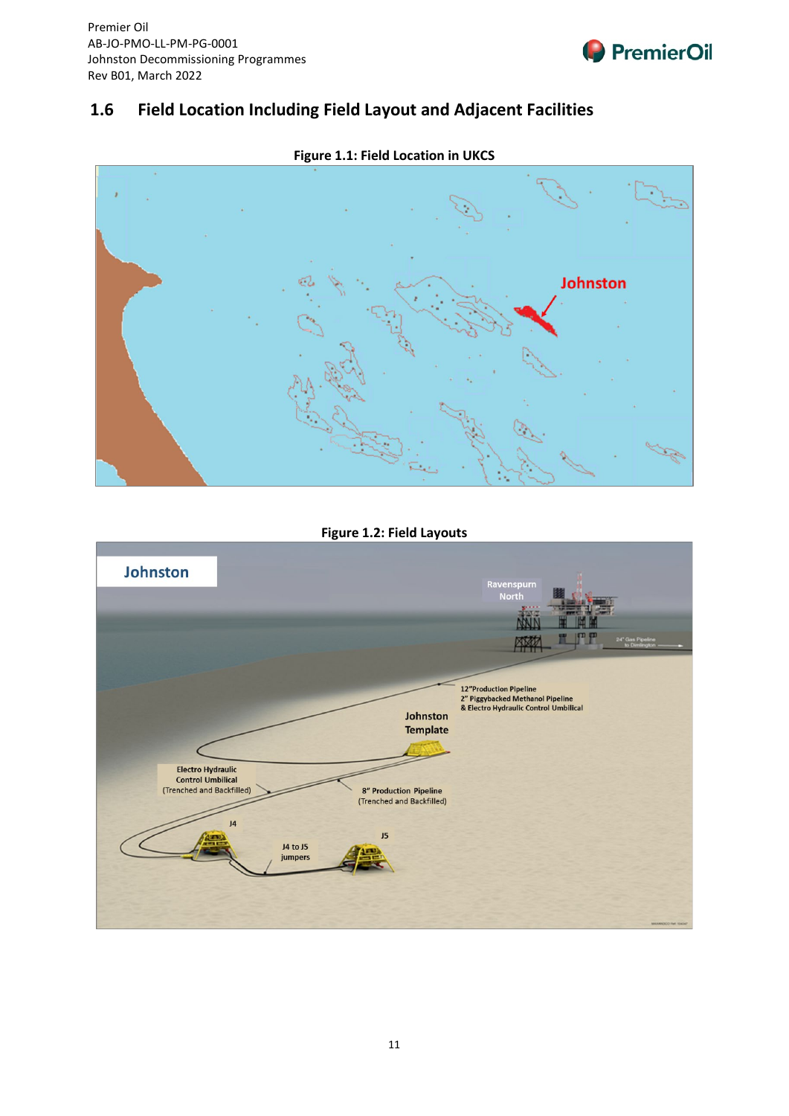

## **1.6 Field Location Including Field Layout and Adjacent Facilities**



## **Figure 1.1: Field Location in UKCS**

**Figure 1.2: Field Layouts**

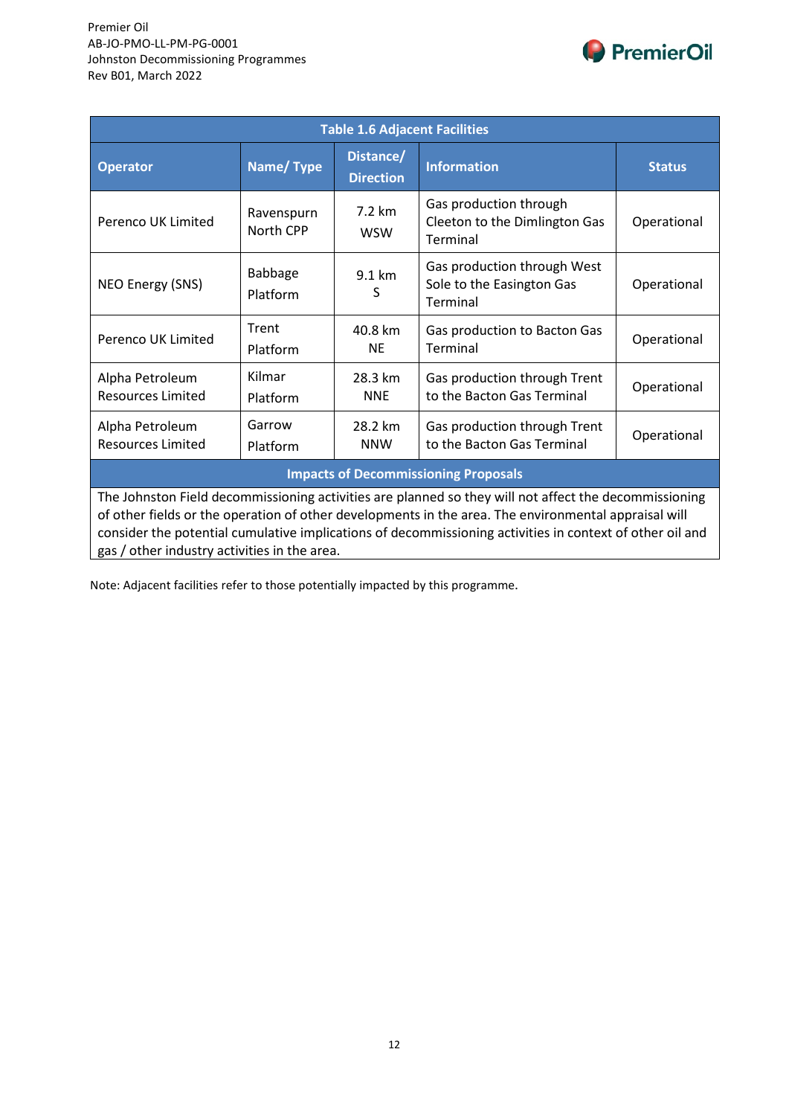

| <b>Table 1.6 Adjacent Facilities</b>        |                         |                               |                                                                                                       |               |  |  |  |
|---------------------------------------------|-------------------------|-------------------------------|-------------------------------------------------------------------------------------------------------|---------------|--|--|--|
| <b>Operator</b>                             | Name/Type               | Distance/<br><b>Direction</b> | <b>Information</b>                                                                                    | <b>Status</b> |  |  |  |
| Perenco UK Limited                          | Ravenspurn<br>North CPP | 7.2 km<br><b>WSW</b>          | Gas production through<br>Cleeton to the Dimlington Gas<br>Terminal                                   | Operational   |  |  |  |
| NEO Energy (SNS)                            | Babbage<br>Platform     | 9.1 km<br>S                   | Gas production through West<br>Sole to the Easington Gas<br>Terminal                                  | Operational   |  |  |  |
| Perenco UK Limited                          | Trent<br>Platform       | 40.8 km<br><b>NE</b>          | Gas production to Bacton Gas<br>Terminal                                                              | Operational   |  |  |  |
| Alpha Petroleum<br><b>Resources Limited</b> | Kilmar<br>Platform      | 28.3 km<br><b>NNE</b>         | Gas production through Trent<br>to the Bacton Gas Terminal                                            | Operational   |  |  |  |
| Alpha Petroleum<br><b>Resources Limited</b> | Garrow<br>Platform      | 28.2 km<br><b>NNW</b>         | Gas production through Trent<br>to the Bacton Gas Terminal                                            | Operational   |  |  |  |
| <b>Impacts of Decommissioning Proposals</b> |                         |                               |                                                                                                       |               |  |  |  |
|                                             |                         |                               | The Johnston Field decommissioning activities are planned so they will not affect the decommissioning |               |  |  |  |

of other fields or the operation of other developments in the area. The environmental appraisal will consider the potential cumulative implications of decommissioning activities in context of other oil and gas / other industry activities in the area.

Note: Adjacent facilities refer to those potentially impacted by this programme.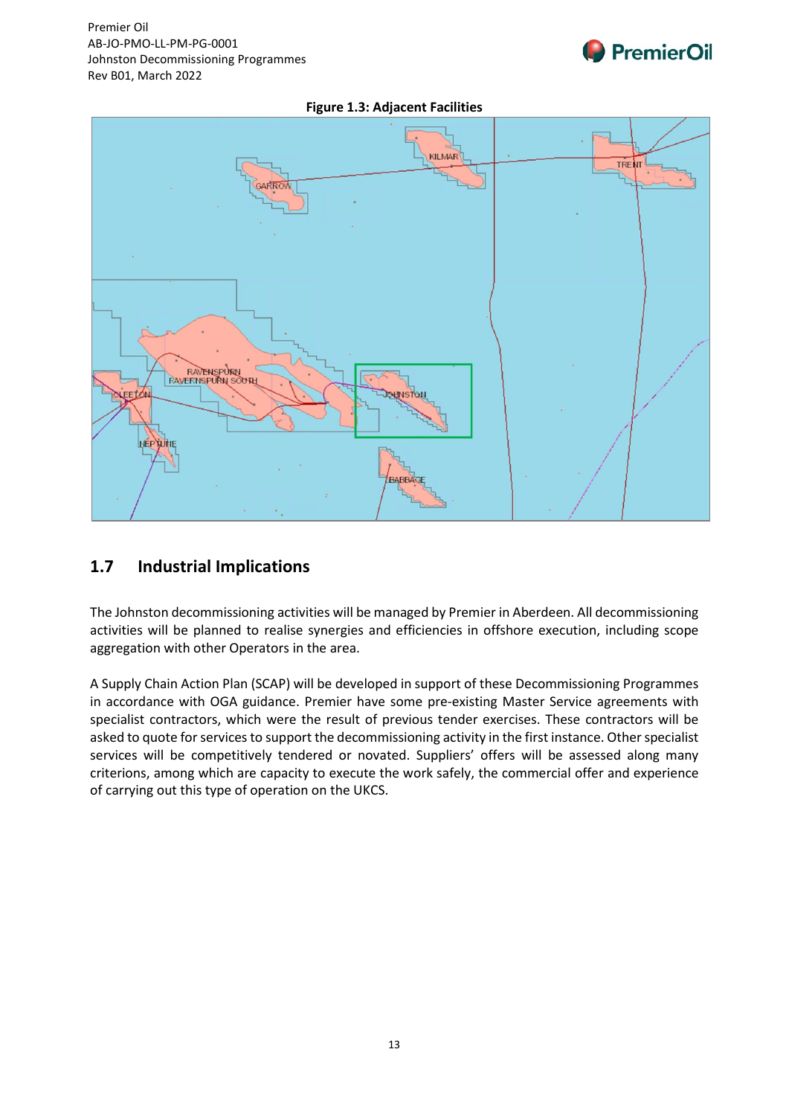





## **1.7 Industrial Implications**

The Johnston decommissioning activities will be managed by Premier in Aberdeen. All decommissioning activities will be planned to realise synergies and efficiencies in offshore execution, including scope aggregation with other Operators in the area.

A Supply Chain Action Plan (SCAP) will be developed in support of these Decommissioning Programmes in accordance with OGA guidance. Premier have some pre-existing Master Service agreements with specialist contractors, which were the result of previous tender exercises. These contractors will be asked to quote for services to support the decommissioning activity in the first instance. Other specialist services will be competitively tendered or novated. Suppliers' offers will be assessed along many criterions, among which are capacity to execute the work safely, the commercial offer and experience of carrying out this type of operation on the UKCS.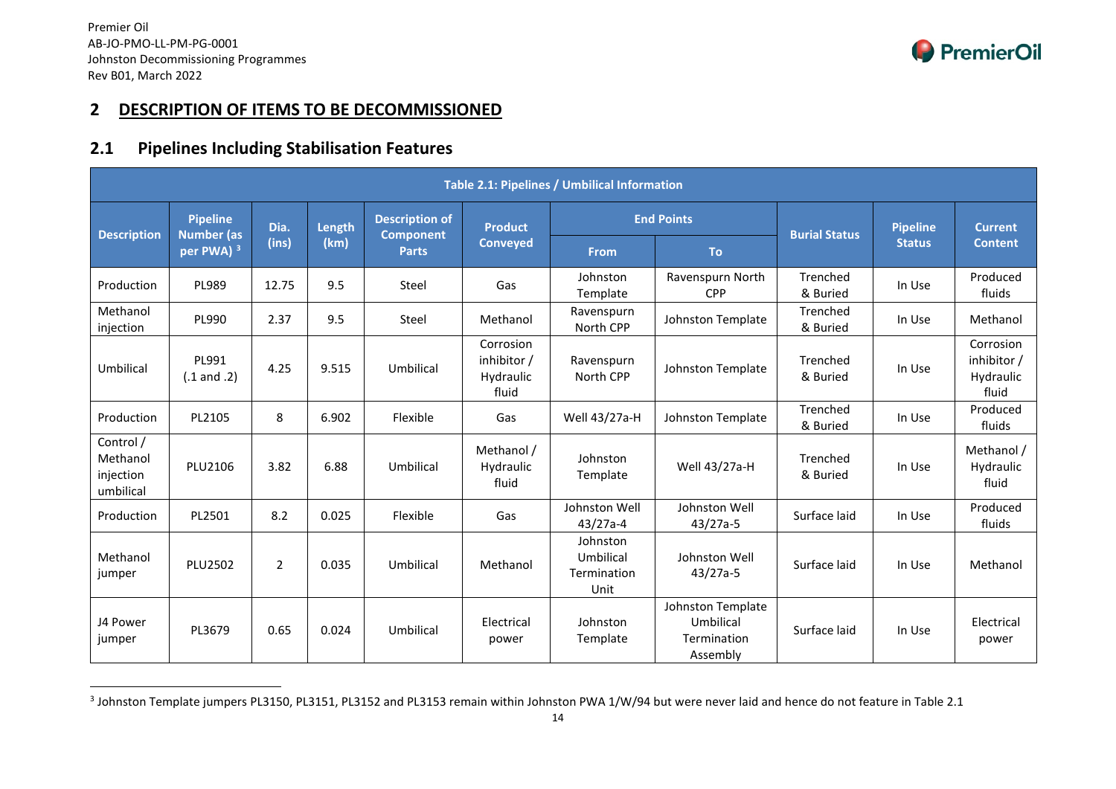<span id="page-14-0"></span>

## **2 DESCRIPTION OF ITEMS TO BE DECOMMISSIONED**

## **2.1 Pipelines Including Stabilisation Features**

| Table 2.1: Pipelines / Umbilical Information    |                                            |                |        |                                  |                                                |                                              |                                                           |                      |                 |                                                |
|-------------------------------------------------|--------------------------------------------|----------------|--------|----------------------------------|------------------------------------------------|----------------------------------------------|-----------------------------------------------------------|----------------------|-----------------|------------------------------------------------|
|                                                 | <b>Pipeline</b>                            | Dia.           | Length | <b>Description of</b>            | <b>Product</b>                                 |                                              | <b>End Points</b>                                         |                      | <b>Pipeline</b> | <b>Current</b>                                 |
| <b>Description</b>                              | <b>Number</b> (as<br>per PWA) <sup>3</sup> | (ins)          | (km)   | <b>Component</b><br><b>Parts</b> | <b>Conveyed</b>                                | <b>From</b>                                  | <b>To</b>                                                 | <b>Burial Status</b> | <b>Status</b>   | <b>Content</b>                                 |
| Production                                      | PL989                                      | 12.75          | 9.5    | Steel                            | Gas                                            | Johnston<br>Template                         | Ravenspurn North<br><b>CPP</b>                            | Trenched<br>& Buried | In Use          | Produced<br>fluids                             |
| Methanol<br>injection                           | PL990                                      | 2.37           | 9.5    | Steel                            | Methanol                                       | Ravenspurn<br>North CPP                      | Johnston Template                                         | Trenched<br>& Buried | In Use          | Methanol                                       |
| Umbilical                                       | PL991<br>$(.1$ and $.2)$                   | 4.25           | 9.515  | Umbilical                        | Corrosion<br>inhibitor /<br>Hydraulic<br>fluid | Ravenspurn<br>North CPP                      | Johnston Template                                         | Trenched<br>& Buried | In Use          | Corrosion<br>inhibitor /<br>Hydraulic<br>fluid |
| Production                                      | PL2105                                     | 8              | 6.902  | Flexible                         | Gas                                            | Well 43/27a-H                                | Johnston Template                                         | Trenched<br>& Buried | In Use          | Produced<br>fluids                             |
| Control /<br>Methanol<br>injection<br>umbilical | PLU2106                                    | 3.82           | 6.88   | Umbilical                        | Methanol /<br>Hydraulic<br>fluid               | Johnston<br>Template                         | Well 43/27a-H                                             | Trenched<br>& Buried | In Use          | Methanol /<br>Hydraulic<br>fluid               |
| Production                                      | PL2501                                     | 8.2            | 0.025  | Flexible                         | Gas                                            | Johnston Well<br>43/27a-4                    | Johnston Well<br>$43/27a-5$                               | Surface laid         | In Use          | Produced<br>fluids                             |
| Methanol<br>jumper                              | <b>PLU2502</b>                             | $\overline{2}$ | 0.035  | Umbilical                        | Methanol                                       | Johnston<br>Umbilical<br>Termination<br>Unit | Johnston Well<br>$43/27a-5$                               | Surface laid         | In Use          | Methanol                                       |
| J4 Power<br>jumper                              | PL3679                                     | 0.65           | 0.024  | Umbilical                        | Electrical<br>power                            | Johnston<br>Template                         | Johnston Template<br>Umbilical<br>Termination<br>Assembly | Surface laid         | In Use          | Electrical<br>power                            |

<sup>&</sup>lt;sup>3</sup> Johnston Template jumpers PL3150, PL3151, PL3152 and PL3153 remain within Johnston PWA 1/W/94 but were never laid and hence do not feature in Table 2.1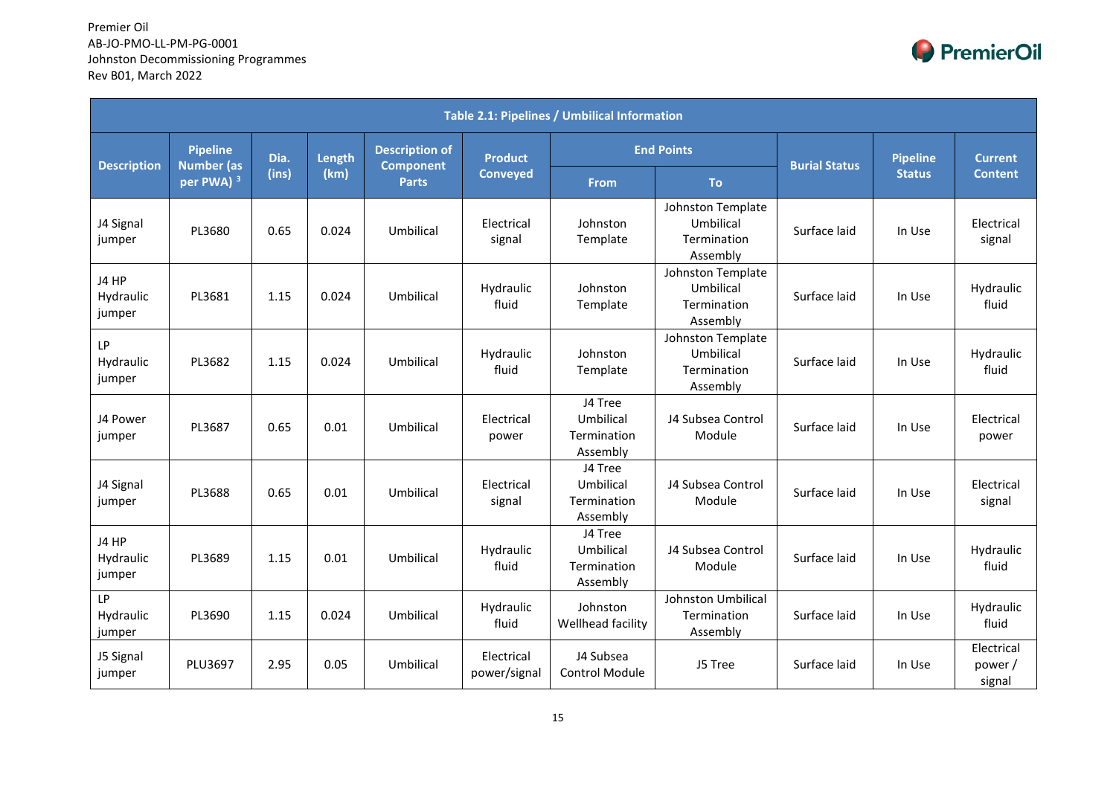

| <b>Table 2.1: Pipelines / Umbilical Information</b> |                                            |       |        |                                  |                            |                                                 |                                                           |                      |                 |                                |
|-----------------------------------------------------|--------------------------------------------|-------|--------|----------------------------------|----------------------------|-------------------------------------------------|-----------------------------------------------------------|----------------------|-----------------|--------------------------------|
|                                                     | <b>Pipeline</b>                            | Dia.  | Length | <b>Description of</b>            | <b>Product</b>             |                                                 | <b>End Points</b>                                         |                      | <b>Pipeline</b> | <b>Current</b>                 |
| <b>Description</b>                                  | <b>Number (as</b><br>per PWA) <sup>3</sup> | (ins) | (km)   | <b>Component</b><br><b>Parts</b> | <b>Conveyed</b>            | <b>From</b>                                     | <b>To</b>                                                 | <b>Burial Status</b> | <b>Status</b>   | <b>Content</b>                 |
| J4 Signal<br>jumper                                 | PL3680                                     | 0.65  | 0.024  | Umbilical                        | Electrical<br>signal       | Johnston<br>Template                            | Johnston Template<br>Umbilical<br>Termination<br>Assembly | Surface laid         | In Use          | Electrical<br>signal           |
| J4 HP<br>Hydraulic<br>jumper                        | PL3681                                     | 1.15  | 0.024  | Umbilical                        | Hydraulic<br>fluid         | Johnston<br>Template                            | Johnston Template<br>Umbilical<br>Termination<br>Assembly | Surface laid         | In Use          | Hydraulic<br>fluid             |
| LP<br>Hydraulic<br>jumper                           | PL3682                                     | 1.15  | 0.024  | Umbilical                        | Hydraulic<br>fluid         | Johnston<br>Template                            | Johnston Template<br>Umbilical<br>Termination<br>Assembly | Surface laid         | In Use          | Hydraulic<br>fluid             |
| J4 Power<br>jumper                                  | PL3687                                     | 0.65  | 0.01   | Umbilical                        | Electrical<br>power        | J4 Tree<br>Umbilical<br>Termination<br>Assembly | J4 Subsea Control<br>Module                               | Surface laid         | In Use          | Electrical<br>power            |
| J4 Signal<br>jumper                                 | PL3688                                     | 0.65  | 0.01   | Umbilical                        | Electrical<br>signal       | J4 Tree<br>Umbilical<br>Termination<br>Assembly | J4 Subsea Control<br>Module                               | Surface laid         | In Use          | Electrical<br>signal           |
| J4 HP<br>Hydraulic<br>jumper                        | PL3689                                     | 1.15  | 0.01   | Umbilical                        | Hydraulic<br>fluid         | J4 Tree<br>Umbilical<br>Termination<br>Assembly | J4 Subsea Control<br>Module                               | Surface laid         | In Use          | Hydraulic<br>fluid             |
| LP<br>Hydraulic<br>jumper                           | PL3690                                     | 1.15  | 0.024  | Umbilical                        | Hydraulic<br>fluid         | Johnston<br>Wellhead facility                   | Johnston Umbilical<br>Termination<br>Assembly             | Surface laid         | In Use          | Hydraulic<br>fluid             |
| J5 Signal<br>jumper                                 | <b>PLU3697</b>                             | 2.95  | 0.05   | Umbilical                        | Electrical<br>power/signal | J4 Subsea<br><b>Control Module</b>              | J5 Tree                                                   | Surface laid         | In Use          | Electrical<br>power/<br>signal |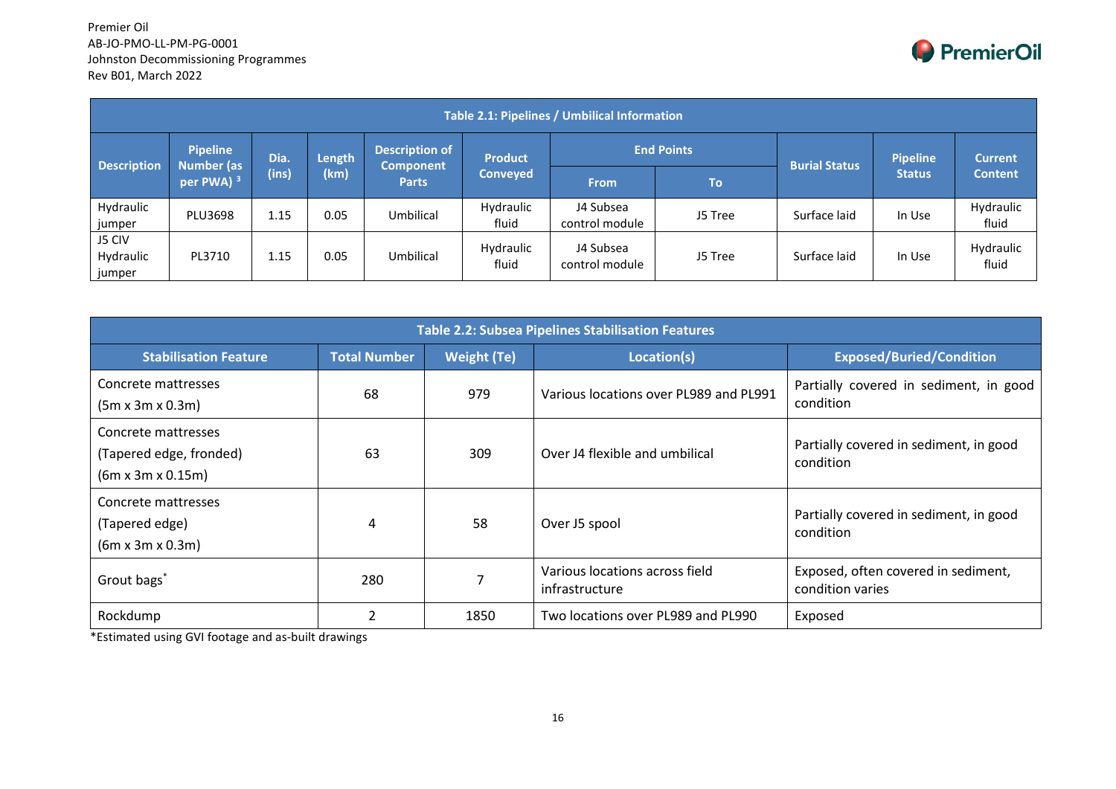

| Table 2.1: Pipelines / Umbilical Information |                                                     |      |                                                                        |                                  |                      |                             |                |              |               |                    |
|----------------------------------------------|-----------------------------------------------------|------|------------------------------------------------------------------------|----------------------------------|----------------------|-----------------------------|----------------|--------------|---------------|--------------------|
|                                              | <b>Pipeline</b>                                     | Dia. | <b>End Points</b><br><b>Description of</b><br>Length<br><b>Product</b> |                                  | <b>Burial Status</b> | <b>Pipeline</b>             | <b>Current</b> |              |               |                    |
| <b>Description</b>                           | <b>Number (as</b><br>(ins)<br>per PWA) <sup>3</sup> |      | (km)                                                                   | <b>Component</b><br><b>Parts</b> | <b>Conveyed</b>      | <b>From</b>                 | <b>To</b>      |              | <b>Status</b> | <b>Content</b>     |
| Hydraulic<br>jumper                          | PLU3698                                             | 1.15 | 0.05                                                                   | Umbilical                        | Hydraulic<br>fluid   | J4 Subsea<br>control module | J5 Tree        | Surface laid | In Use        | Hydraulic<br>fluid |
| J5 CIV<br>Hydraulic<br>jumper                | PL3710                                              | 1.15 | 0.05                                                                   | Umbilical                        | Hydraulic<br>fluid   | J4 Subsea<br>control module | J5 Tree        | Surface laid | In Use        | Hydraulic<br>fluid |

| <b>Table 2.2: Subsea Pipelines Stabilisation Features</b>                       |                          |                    |                                                  |                                                         |  |  |  |  |  |
|---------------------------------------------------------------------------------|--------------------------|--------------------|--------------------------------------------------|---------------------------------------------------------|--|--|--|--|--|
| <b>Stabilisation Feature</b>                                                    | <b>Total Number</b>      | <b>Weight (Te)</b> | Location(s)                                      | <b>Exposed/Buried/Condition</b>                         |  |  |  |  |  |
| Concrete mattresses<br>$(5m \times 3m \times 0.3m)$                             | 68                       | 979                | Various locations over PL989 and PL991           | Partially covered in sediment, in good<br>condition     |  |  |  |  |  |
| Concrete mattresses<br>(Tapered edge, fronded)<br>$(6m \times 3m \times 0.15m)$ | 63                       | 309                | Over J4 flexible and umbilical                   | Partially covered in sediment, in good<br>condition     |  |  |  |  |  |
| Concrete mattresses<br>(Tapered edge)<br>$(6m \times 3m \times 0.3m)$           | 4                        | 58                 | Over J5 spool                                    | Partially covered in sediment, in good<br>condition     |  |  |  |  |  |
| Grout bags*                                                                     | 280                      | 7                  | Various locations across field<br>infrastructure | Exposed, often covered in sediment,<br>condition varies |  |  |  |  |  |
| Rockdump                                                                        | $\overline{\mathcal{L}}$ | 1850               | Two locations over PL989 and PL990               | Exposed                                                 |  |  |  |  |  |

\*Estimated using GVI footage and as-built drawings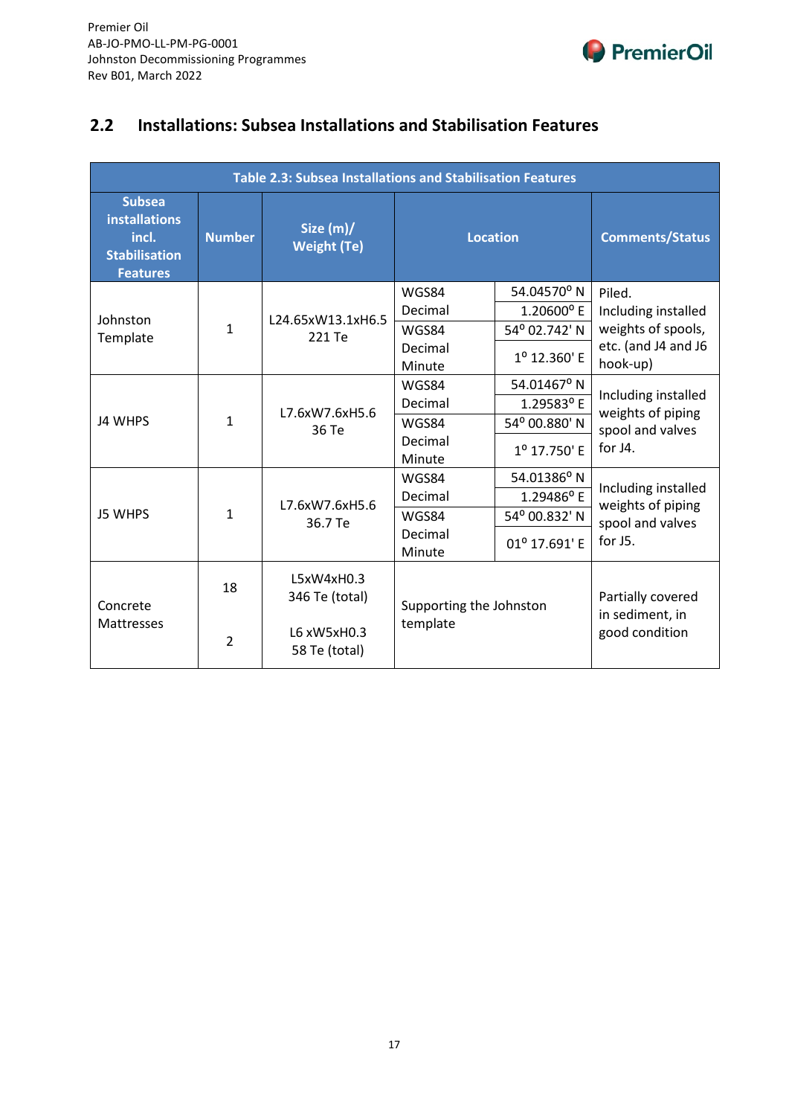

## **2.2 Installations: Subsea Installations and Stabilisation Features**

| <b>Table 2.3: Subsea Installations and Stabilisation Features</b>                         |                |                                 |                         |               |                                   |  |  |
|-------------------------------------------------------------------------------------------|----------------|---------------------------------|-------------------------|---------------|-----------------------------------|--|--|
| <b>Subsea</b><br><b>installations</b><br>incl.<br><b>Stabilisation</b><br><b>Features</b> | <b>Number</b>  | Size (m)/<br><b>Weight (Te)</b> | <b>Location</b>         |               | <b>Comments/Status</b>            |  |  |
|                                                                                           |                |                                 | WGS84                   | 54.04570°N    | Piled.                            |  |  |
| Johnston                                                                                  |                | L24.65xW13.1xH6.5               | Decimal                 | 1.20600°E     | Including installed               |  |  |
| Template                                                                                  | $\mathbf{1}$   | 221 Te                          | WGS84                   | 54° 02.742' N | weights of spools,                |  |  |
|                                                                                           |                |                                 | Decimal                 | 1º 12.360' E  | etc. (and J4 and J6<br>hook-up)   |  |  |
|                                                                                           |                |                                 | Minute                  |               |                                   |  |  |
|                                                                                           | $\mathbf{1}$   | L7.6xW7.6xH5.6<br>36 Te         | WGS84                   | 54.01467° N   | Including installed               |  |  |
|                                                                                           |                |                                 | Decimal                 | 1.29583°E     | weights of piping                 |  |  |
| <b>J4 WHPS</b>                                                                            |                |                                 | WGS84                   | 54° 00.880' N | spool and valves                  |  |  |
|                                                                                           |                |                                 | Decimal                 | 1º 17.750' E  | for J4.                           |  |  |
|                                                                                           |                |                                 | Minute                  |               |                                   |  |  |
|                                                                                           |                |                                 | WGS84                   | 54.01386° N   | Including installed               |  |  |
|                                                                                           |                | L7.6xW7.6xH5.6                  | Decimal                 | 1.29486°E     | weights of piping                 |  |  |
| <b>J5 WHPS</b>                                                                            | $\mathbf{1}$   | 36.7 Te                         | WGS84                   | 54° 00.832' N | spool and valves                  |  |  |
|                                                                                           |                |                                 | Decimal                 | 01º 17.691' E | for J5.                           |  |  |
|                                                                                           |                |                                 | Minute                  |               |                                   |  |  |
|                                                                                           | 18             | L5xW4xH0.3                      |                         |               |                                   |  |  |
| Concrete<br>Mattresses                                                                    |                | 346 Te (total)                  | Supporting the Johnston |               | Partially covered                 |  |  |
|                                                                                           | $\overline{2}$ | L6 xW5xH0.3<br>58 Te (total)    | template                |               | in sediment, in<br>good condition |  |  |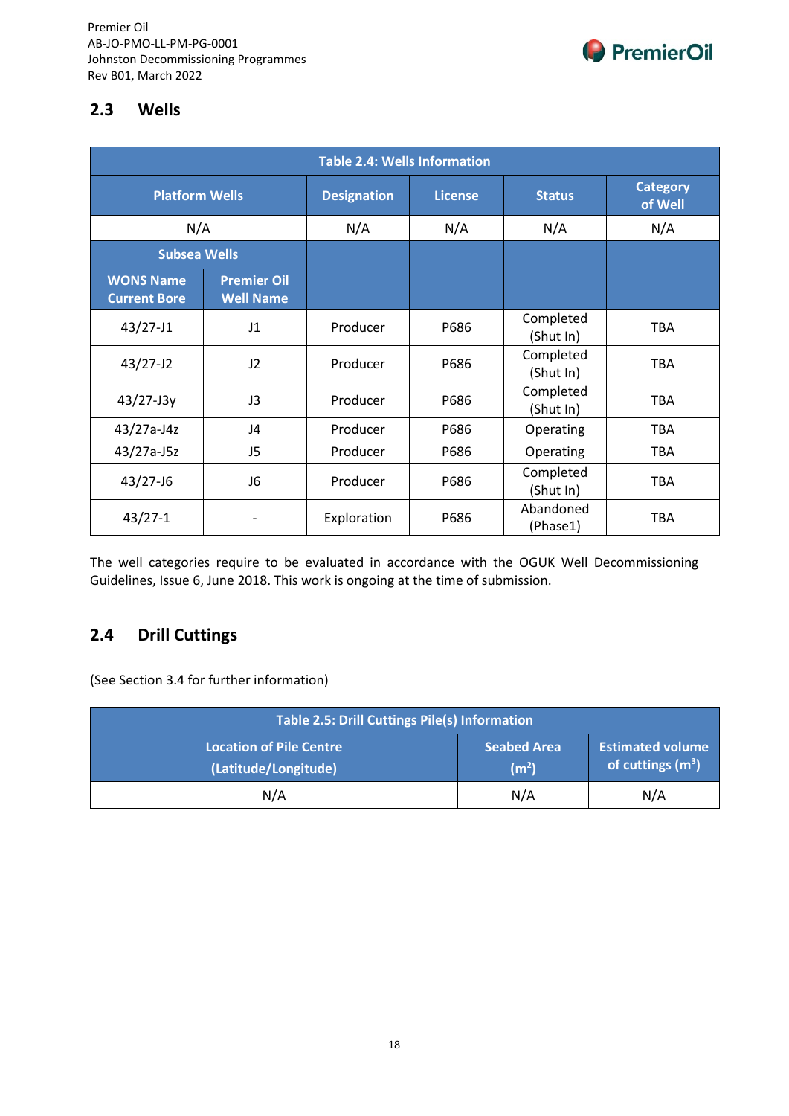

## **2.3 Wells**

| <b>Table 2.4: Wells Information</b>     |                                        |                    |                |                        |                            |  |  |
|-----------------------------------------|----------------------------------------|--------------------|----------------|------------------------|----------------------------|--|--|
| <b>Platform Wells</b>                   |                                        | <b>Designation</b> | <b>License</b> | <b>Status</b>          | <b>Category</b><br>of Well |  |  |
| N/A                                     |                                        | N/A                | N/A            | N/A                    | N/A                        |  |  |
| <b>Subsea Wells</b>                     |                                        |                    |                |                        |                            |  |  |
| <b>WONS Name</b><br><b>Current Bore</b> | <b>Premier Oil</b><br><b>Well Name</b> |                    |                |                        |                            |  |  |
| $43/27 - J1$                            | J1                                     | Producer           | P686           | Completed<br>(Shut In) | TBA                        |  |  |
| $43/27 - J2$                            | J2                                     | Producer           | P686           | Completed<br>(Shut In) | <b>TBA</b>                 |  |  |
| $43/27 - J3y$                           | J3                                     | Producer           | P686           | Completed<br>(Shut In) | TBA                        |  |  |
| 43/27a-J4z                              | J4                                     | Producer           | P686           | Operating              | <b>TBA</b>                 |  |  |
| 43/27a-J5z                              | J5                                     | Producer           | P686           | Operating              | TBA                        |  |  |
| $43/27 - 16$                            | J6                                     | Producer           | P686           | Completed<br>(Shut In) | TBA                        |  |  |
| $43/27 - 1$                             |                                        | Exploration        | P686           | Abandoned<br>(Phase1)  | TBA                        |  |  |

The well categories require to be evaluated in accordance with the OGUK Well Decommissioning Guidelines, Issue 6, June 2018. This work is ongoing at the time of submission.

## **2.4 Drill Cuttings**

(See Section 3.4 for further information)

| Table 2.5: Drill Cuttings Pile(s) Information          |                                         |                                                |  |  |  |  |  |
|--------------------------------------------------------|-----------------------------------------|------------------------------------------------|--|--|--|--|--|
| <b>Location of Pile Centre</b><br>(Latitude/Longitude) | <b>Seabed Area</b><br>(m <sup>2</sup> ) | <b>Estimated volume</b><br>of cuttings $(m^3)$ |  |  |  |  |  |
| N/A                                                    | N/A                                     | N/A                                            |  |  |  |  |  |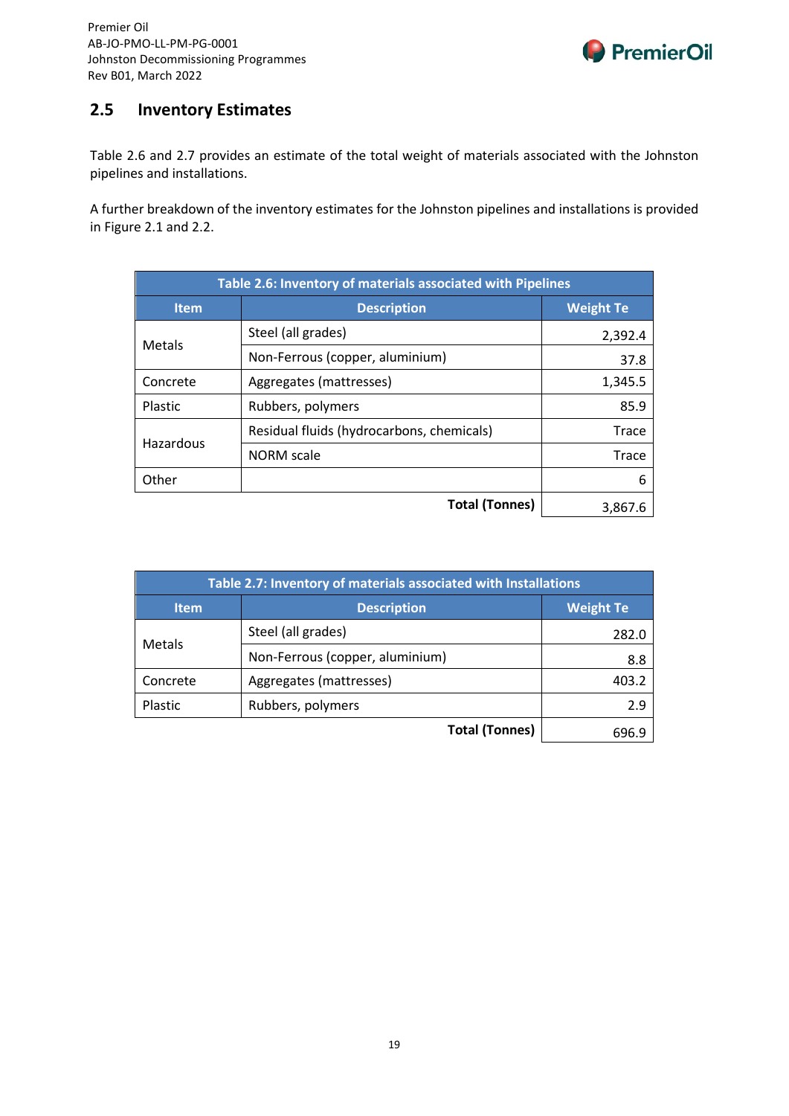

## **2.5 Inventory Estimates**

Table 2.6 and 2.7 provides an estimate of the total weight of materials associated with the Johnston pipelines and installations.

A further breakdown of the inventory estimates for the Johnston pipelines and installations is provided in Figure 2.1 and 2.2.

| Table 2.6: Inventory of materials associated with Pipelines |                                           |                  |  |
|-------------------------------------------------------------|-------------------------------------------|------------------|--|
| <b>Item</b>                                                 | <b>Description</b>                        | <b>Weight Te</b> |  |
| Metals                                                      | Steel (all grades)                        | 2,392.4          |  |
|                                                             | Non-Ferrous (copper, aluminium)           | 37.8             |  |
| Concrete                                                    | Aggregates (mattresses)                   | 1,345.5          |  |
| Plastic                                                     | Rubbers, polymers                         | 85.9             |  |
|                                                             | Residual fluids (hydrocarbons, chemicals) | Trace            |  |
| Hazardous                                                   | <b>NORM</b> scale                         | Trace            |  |
| Other                                                       |                                           | 6                |  |
|                                                             | <b>Total (Tonnes)</b>                     | 3.867.6          |  |

| Table 2.7: Inventory of materials associated with Installations |                                        |       |
|-----------------------------------------------------------------|----------------------------------------|-------|
| <b>Item</b>                                                     | <b>Weight Te</b><br><b>Description</b> |       |
| Metals                                                          | Steel (all grades)                     | 282.0 |
|                                                                 | Non-Ferrous (copper, aluminium)        | 8.8   |
| Concrete                                                        | Aggregates (mattresses)                | 403.2 |
| Plastic                                                         | Rubbers, polymers                      | 2.9   |
|                                                                 | <b>Total (Tonnes)</b>                  | 696.9 |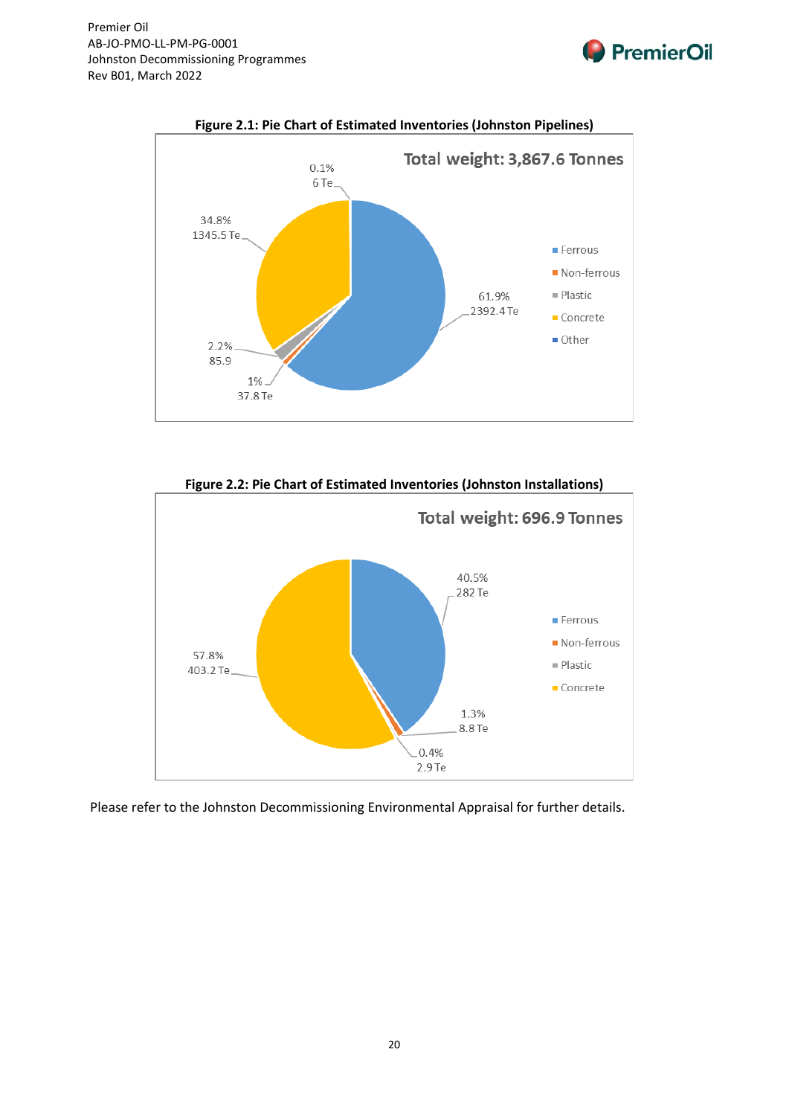

**Figure 2.1: Pie Chart of Estimated Inventories (Johnston Pipelines)**

**PremierOil** 



**Figure 2.2: Pie Chart of Estimated Inventories (Johnston Installations)**

Please refer to the Johnston Decommissioning Environmental Appraisal for further details.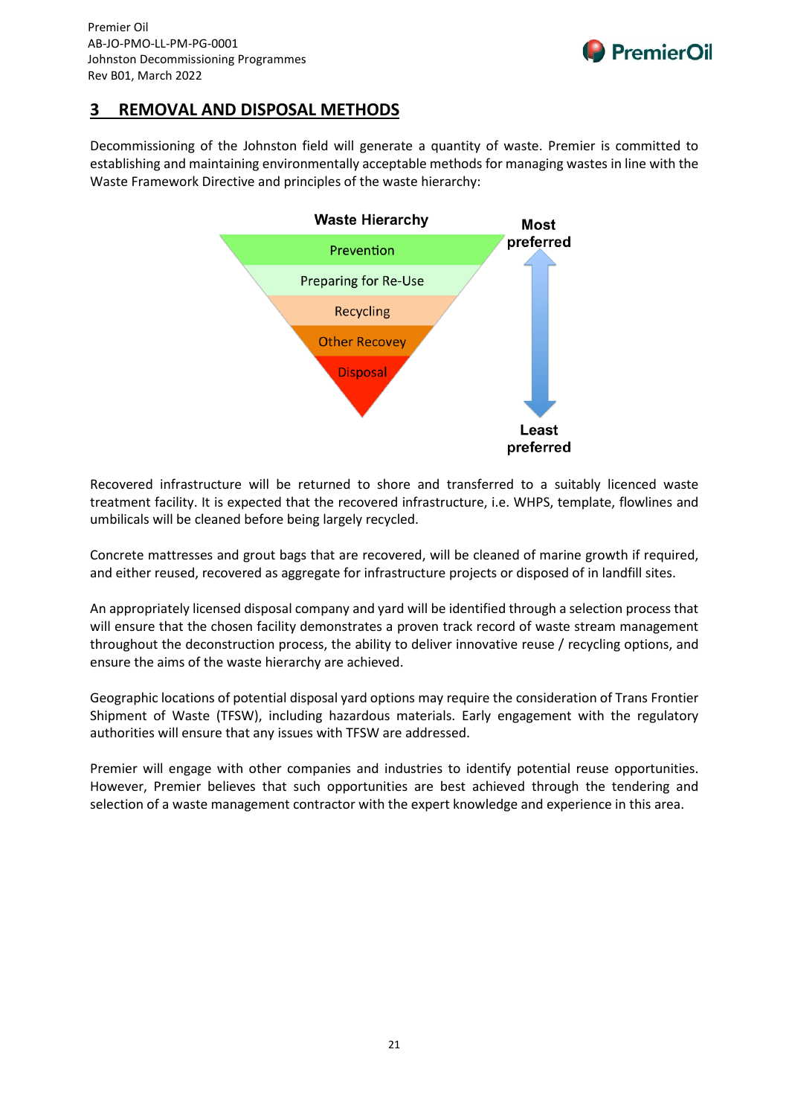## **3 REMOVAL AND DISPOSAL METHODS**

Decommissioning of the Johnston field will generate a quantity of waste. Premier is committed to establishing and maintaining environmentally acceptable methods for managing wastes in line with the Waste Framework Directive and principles of the waste hierarchy:

**PremierOil** 



Recovered infrastructure will be returned to shore and transferred to a suitably licenced waste treatment facility. It is expected that the recovered infrastructure, i.e. WHPS, template, flowlines and umbilicals will be cleaned before being largely recycled.

Concrete mattresses and grout bags that are recovered, will be cleaned of marine growth if required, and either reused, recovered as aggregate for infrastructure projects or disposed of in landfill sites.

An appropriately licensed disposal company and yard will be identified through a selection process that will ensure that the chosen facility demonstrates a proven track record of waste stream management throughout the deconstruction process, the ability to deliver innovative reuse / recycling options, and ensure the aims of the waste hierarchy are achieved.

Geographic locations of potential disposal yard options may require the consideration of Trans Frontier Shipment of Waste (TFSW), including hazardous materials. Early engagement with the regulatory authorities will ensure that any issues with TFSW are addressed.

Premier will engage with other companies and industries to identify potential reuse opportunities. However, Premier believes that such opportunities are best achieved through the tendering and selection of a waste management contractor with the expert knowledge and experience in this area.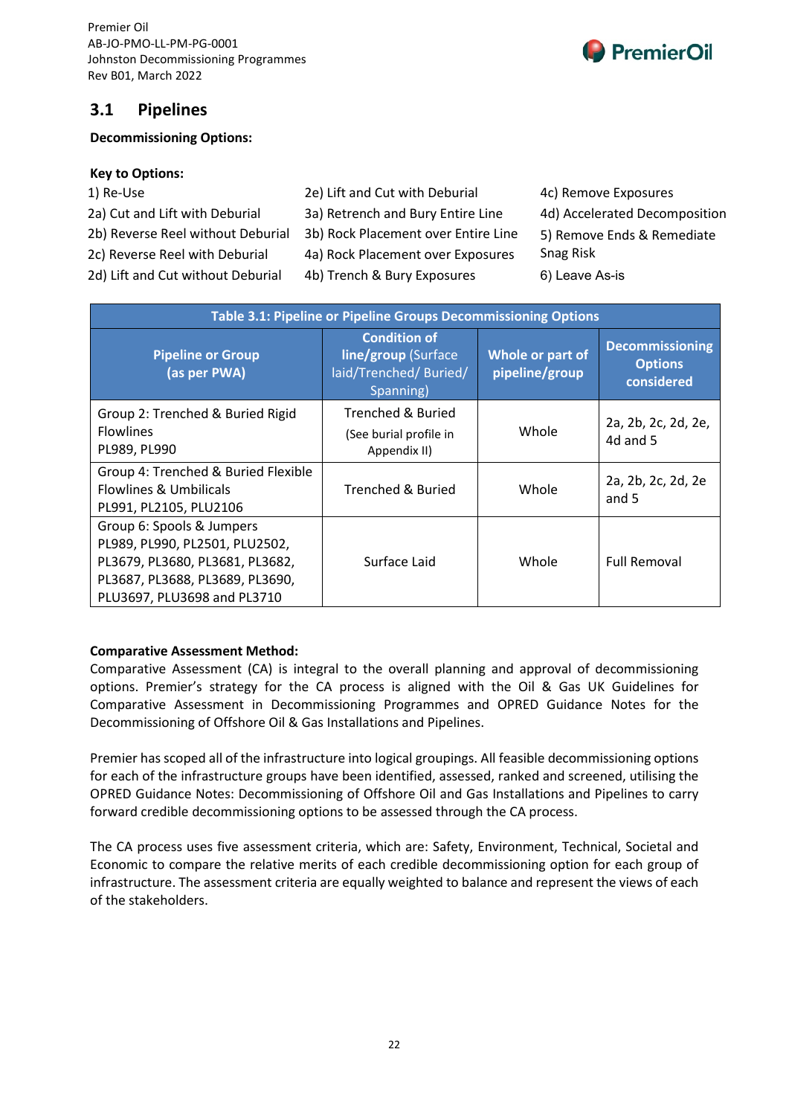

## **3.1 Pipelines**

#### **Decommissioning Options:**

#### **Key to Options:**

- 1) Re-Use 2e) Lift and Cut with Deburial 4c) Remove Exposures
- 
- 
- 2a) Cut and Lift with Deburial 3a) Retrench and Bury Entire Line 4d) Accelerated Decomposition
- 2b) Reverse Reel without Deburial 3b) Rock Placement over Entire Line 5) Remove Ends & Remediate
- 2c) Reverse Reel with Deburial 4a) Rock Placement over Exposures Snag Risk
- 
- 2d) Lift and Cut without Deburial 4b) Trench & Bury Exposures 6) Leave As-is

| Table 3.1: Pipeline or Pipeline Groups Decommissioning Options                                                                                                   |                                                                                   |                                    |                                                        |
|------------------------------------------------------------------------------------------------------------------------------------------------------------------|-----------------------------------------------------------------------------------|------------------------------------|--------------------------------------------------------|
| <b>Pipeline or Group</b><br>(as per PWA)                                                                                                                         | <b>Condition of</b><br>line/group (Surface<br>laid/Trenched/ Buried/<br>Spanning) | Whole or part of<br>pipeline/group | <b>Decommissioning</b><br><b>Options</b><br>considered |
| Group 2: Trenched & Buried Rigid<br><b>Flowlines</b><br>PL989, PL990                                                                                             | Trenched & Buried<br>(See burial profile in<br>Appendix II)                       | Whole                              | 2a, 2b, 2c, 2d, 2e,<br>4d and 5                        |
| Group 4: Trenched & Buried Flexible<br><b>Flowlines &amp; Umbilicals</b><br>PL991, PL2105, PLU2106                                                               | <b>Trenched &amp; Buried</b>                                                      | Whole                              | 2a, 2b, 2c, 2d, 2e<br>and 5                            |
| Group 6: Spools & Jumpers<br>PL989, PL990, PL2501, PLU2502,<br>PL3679, PL3680, PL3681, PL3682,<br>PL3687, PL3688, PL3689, PL3690,<br>PLU3697, PLU3698 and PL3710 | Surface Laid                                                                      | Whole                              | <b>Full Removal</b>                                    |

#### **Comparative Assessment Method:**

Comparative Assessment (CA) is integral to the overall planning and approval of decommissioning options. Premier's strategy for the CA process is aligned with the Oil & Gas UK Guidelines for Comparative Assessment in Decommissioning Programmes and OPRED Guidance Notes for the Decommissioning of Offshore Oil & Gas Installations and Pipelines.

Premier has scoped all of the infrastructure into logical groupings. All feasible decommissioning options for each of the infrastructure groups have been identified, assessed, ranked and screened, utilising the OPRED Guidance Notes: Decommissioning of Offshore Oil and Gas Installations and Pipelines to carry forward credible decommissioning options to be assessed through the CA process.

The CA process uses five assessment criteria, which are: Safety, Environment, Technical, Societal and Economic to compare the relative merits of each credible decommissioning option for each group of infrastructure. The assessment criteria are equally weighted to balance and represent the views of each of the stakeholders.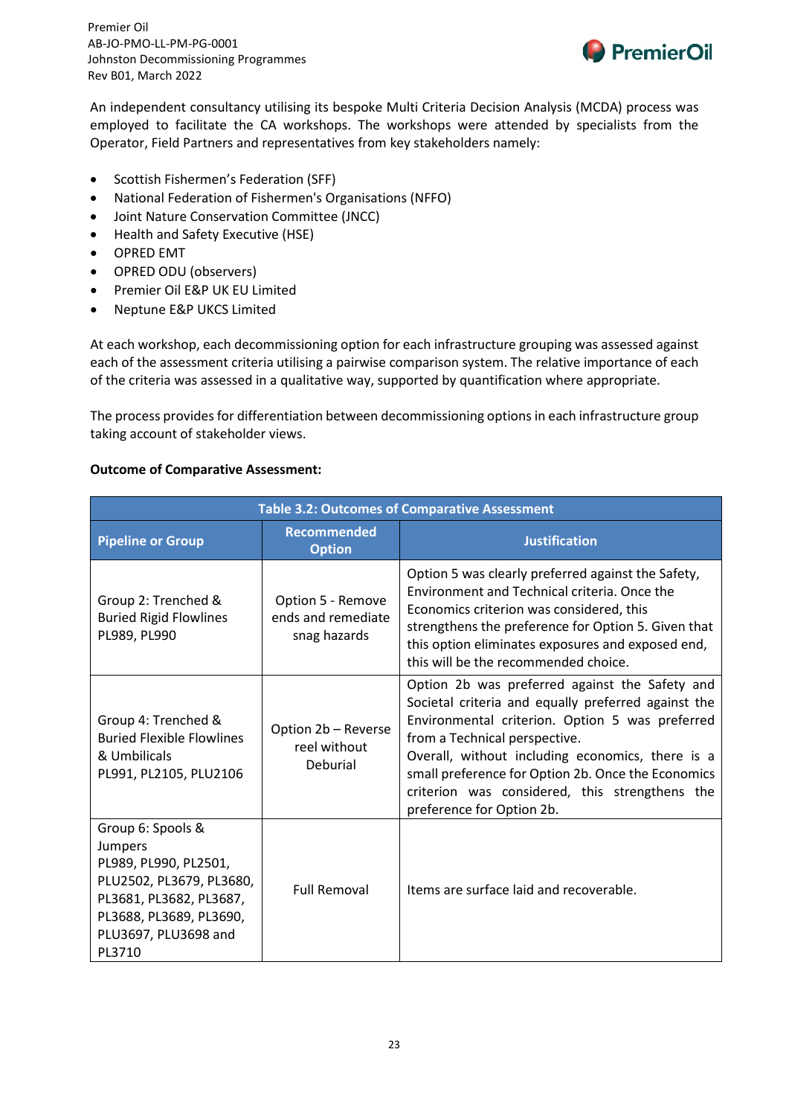

An independent consultancy utilising its bespoke Multi Criteria Decision Analysis (MCDA) process was employed to facilitate the CA workshops. The workshops were attended by specialists from the Operator, Field Partners and representatives from key stakeholders namely:

- Scottish Fishermen's Federation (SFF)
- National Federation of Fishermen's Organisations (NFFO)
- Joint Nature Conservation Committee (JNCC)
- Health and Safety Executive (HSE)
- OPRED EMT
- OPRED ODU (observers)
- Premier Oil E&P UK EU Limited
- Neptune E&P UKCS Limited

At each workshop, each decommissioning option for each infrastructure grouping was assessed against each of the assessment criteria utilising a pairwise comparison system. The relative importance of each of the criteria was assessed in a qualitative way, supported by quantification where appropriate.

The process provides for differentiation between decommissioning options in each infrastructure group taking account of stakeholder views.

#### **Outcome of Comparative Assessment:**

| <b>Table 3.2: Outcomes of Comparative Assessment</b>                                                                                                                      |                                                         |                                                                                                                                                                                                                                                                                                                                                                                    |  |
|---------------------------------------------------------------------------------------------------------------------------------------------------------------------------|---------------------------------------------------------|------------------------------------------------------------------------------------------------------------------------------------------------------------------------------------------------------------------------------------------------------------------------------------------------------------------------------------------------------------------------------------|--|
| <b>Pipeline or Group</b>                                                                                                                                                  | <b>Recommended</b><br><b>Option</b>                     | <b>Justification</b>                                                                                                                                                                                                                                                                                                                                                               |  |
| Group 2: Trenched &<br><b>Buried Rigid Flowlines</b><br>PL989, PL990                                                                                                      | Option 5 - Remove<br>ends and remediate<br>snag hazards | Option 5 was clearly preferred against the Safety,<br>Environment and Technical criteria. Once the<br>Economics criterion was considered, this<br>strengthens the preference for Option 5. Given that<br>this option eliminates exposures and exposed end,<br>this will be the recommended choice.                                                                                 |  |
| Group 4: Trenched &<br><b>Buried Flexible Flowlines</b><br>& Umbilicals<br>PL991, PL2105, PLU2106                                                                         | Option 2b - Reverse<br>reel without<br>Deburial         | Option 2b was preferred against the Safety and<br>Societal criteria and equally preferred against the<br>Environmental criterion. Option 5 was preferred<br>from a Technical perspective.<br>Overall, without including economics, there is a<br>small preference for Option 2b. Once the Economics<br>criterion was considered, this strengthens the<br>preference for Option 2b. |  |
| Group 6: Spools &<br>Jumpers<br>PL989, PL990, PL2501,<br>PLU2502, PL3679, PL3680,<br>PL3681, PL3682, PL3687,<br>PL3688, PL3689, PL3690,<br>PLU3697, PLU3698 and<br>PL3710 | <b>Full Removal</b>                                     | Items are surface laid and recoverable.                                                                                                                                                                                                                                                                                                                                            |  |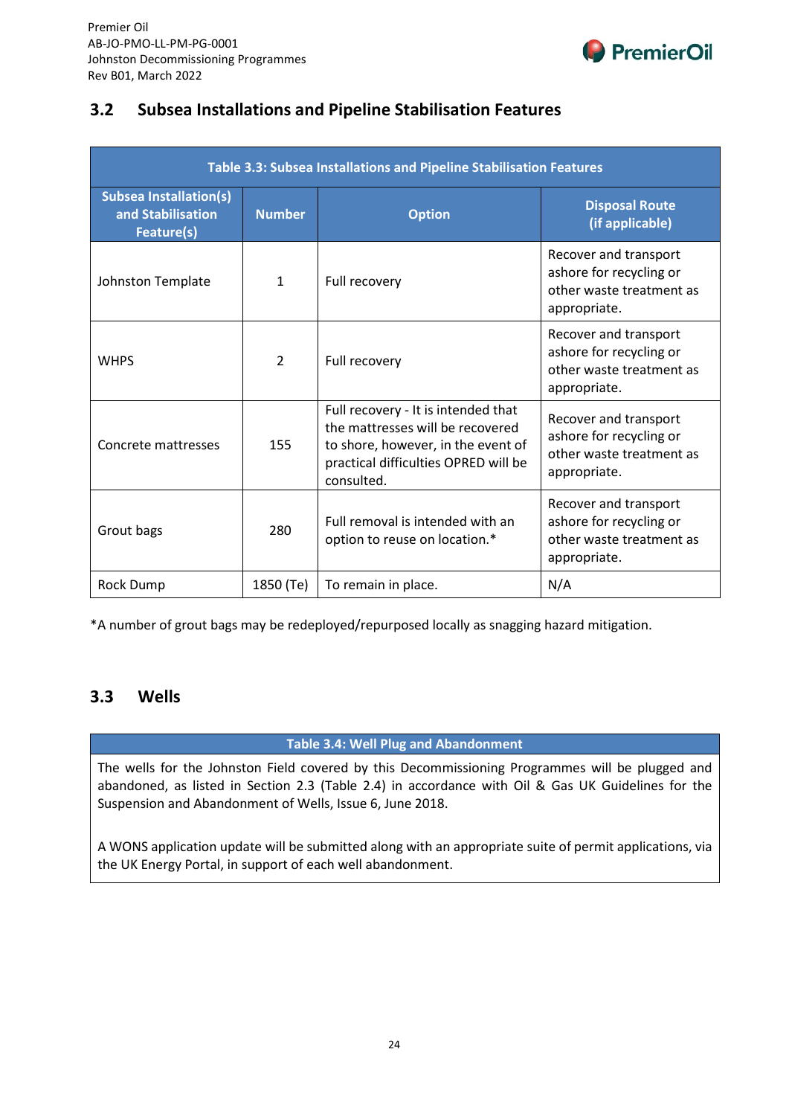

## **3.2 Subsea Installations and Pipeline Stabilisation Features**

| Table 3.3: Subsea Installations and Pipeline Stabilisation Features |               |                                                                                                                                                                     |                                                                                              |
|---------------------------------------------------------------------|---------------|---------------------------------------------------------------------------------------------------------------------------------------------------------------------|----------------------------------------------------------------------------------------------|
| <b>Subsea Installation(s)</b><br>and Stabilisation<br>Feature(s)    | <b>Number</b> | <b>Option</b>                                                                                                                                                       | <b>Disposal Route</b><br>(if applicable)                                                     |
| Johnston Template                                                   | 1             | Full recovery                                                                                                                                                       | Recover and transport<br>ashore for recycling or<br>other waste treatment as<br>appropriate. |
| <b>WHPS</b>                                                         | $\mathcal{P}$ | Full recovery                                                                                                                                                       | Recover and transport<br>ashore for recycling or<br>other waste treatment as<br>appropriate. |
| Concrete mattresses                                                 | 155           | Full recovery - It is intended that<br>the mattresses will be recovered<br>to shore, however, in the event of<br>practical difficulties OPRED will be<br>consulted. | Recover and transport<br>ashore for recycling or<br>other waste treatment as<br>appropriate. |
| Grout bags                                                          | 280           | Full removal is intended with an<br>option to reuse on location.*                                                                                                   | Recover and transport<br>ashore for recycling or<br>other waste treatment as<br>appropriate. |
| <b>Rock Dump</b>                                                    | 1850 (Te)     | To remain in place.                                                                                                                                                 | N/A                                                                                          |

\*A number of grout bags may be redeployed/repurposed locally as snagging hazard mitigation.

## **3.3 Wells**

#### **Table 3.4: Well Plug and Abandonment**

The wells for the Johnston Field covered by this Decommissioning Programmes will be plugged and abandoned, as listed in Section 2.3 (Table 2.4) in accordance with Oil & Gas UK Guidelines for the Suspension and Abandonment of Wells, Issue 6, June 2018.

A WONS application update will be submitted along with an appropriate suite of permit applications, via the UK Energy Portal, in support of each well abandonment.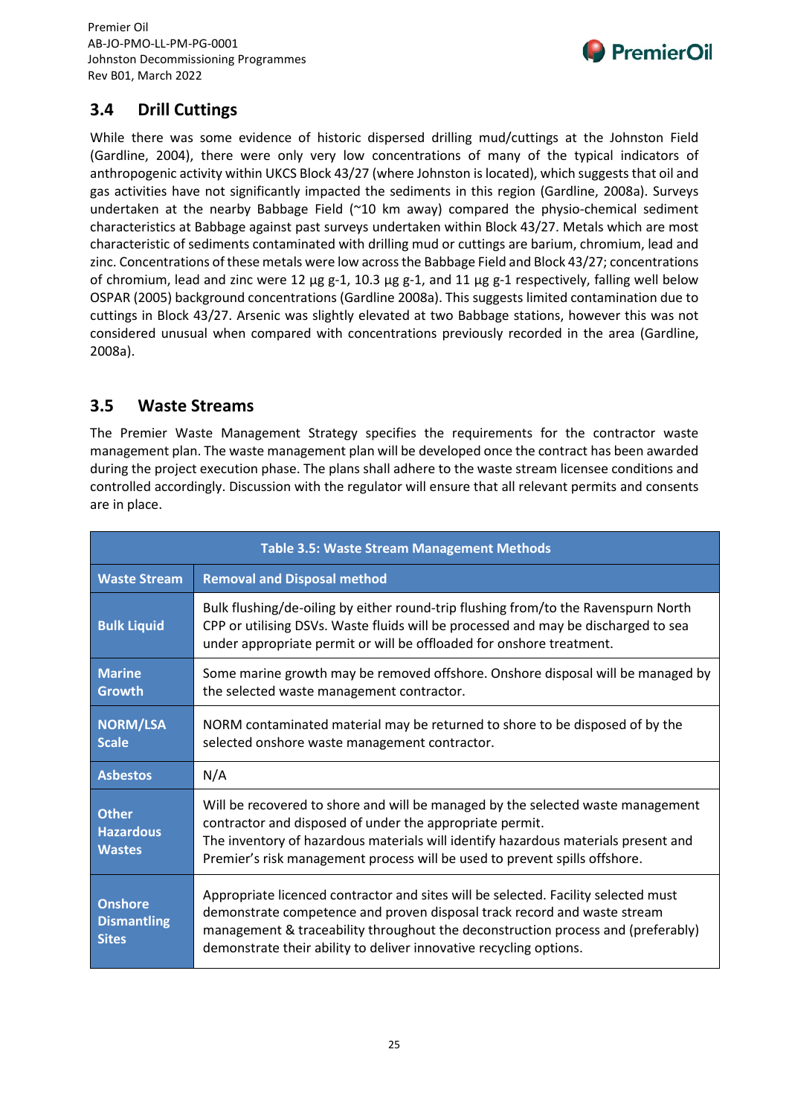

## **3.4 Drill Cuttings**

While there was some evidence of historic dispersed drilling mud/cuttings at the Johnston Field (Gardline, 2004), there were only very low concentrations of many of the typical indicators of anthropogenic activity within UKCS Block 43/27 (where Johnston is located), which suggests that oil and gas activities have not significantly impacted the sediments in this region (Gardline, 2008a). Surveys undertaken at the nearby Babbage Field (~10 km away) compared the physio-chemical sediment characteristics at Babbage against past surveys undertaken within Block 43/27. Metals which are most characteristic of sediments contaminated with drilling mud or cuttings are barium, chromium, lead and zinc. Concentrations of these metals were low across the Babbage Field and Block 43/27; concentrations of chromium, lead and zinc were 12  $\mu$ g g-1, 10.3  $\mu$ g g-1, and 11  $\mu$ g g-1 respectively, falling well below OSPAR (2005) background concentrations (Gardline 2008a). This suggests limited contamination due to cuttings in Block 43/27. Arsenic was slightly elevated at two Babbage stations, however this was not considered unusual when compared with concentrations previously recorded in the area (Gardline, 2008a).

## **3.5 Waste Streams**

The Premier Waste Management Strategy specifies the requirements for the contractor waste management plan. The waste management plan will be developed once the contract has been awarded during the project execution phase. The plans shall adhere to the waste stream licensee conditions and controlled accordingly. Discussion with the regulator will ensure that all relevant permits and consents are in place.

| <b>Table 3.5: Waste Stream Management Methods</b>    |                                                                                                                                                                                                                                                                                                                          |  |
|------------------------------------------------------|--------------------------------------------------------------------------------------------------------------------------------------------------------------------------------------------------------------------------------------------------------------------------------------------------------------------------|--|
| <b>Waste Stream</b>                                  | <b>Removal and Disposal method</b>                                                                                                                                                                                                                                                                                       |  |
| <b>Bulk Liquid</b>                                   | Bulk flushing/de-oiling by either round-trip flushing from/to the Ravenspurn North<br>CPP or utilising DSVs. Waste fluids will be processed and may be discharged to sea<br>under appropriate permit or will be offloaded for onshore treatment.                                                                         |  |
| <b>Marine</b><br>Growth                              | Some marine growth may be removed offshore. Onshore disposal will be managed by<br>the selected waste management contractor.                                                                                                                                                                                             |  |
| <b>NORM/LSA</b><br><b>Scale</b>                      | NORM contaminated material may be returned to shore to be disposed of by the<br>selected onshore waste management contractor.                                                                                                                                                                                            |  |
| <b>Asbestos</b>                                      | N/A                                                                                                                                                                                                                                                                                                                      |  |
| <b>Other</b><br><b>Hazardous</b><br><b>Wastes</b>    | Will be recovered to shore and will be managed by the selected waste management<br>contractor and disposed of under the appropriate permit.<br>The inventory of hazardous materials will identify hazardous materials present and<br>Premier's risk management process will be used to prevent spills offshore.          |  |
| <b>Onshore</b><br><b>Dismantling</b><br><b>Sites</b> | Appropriate licenced contractor and sites will be selected. Facility selected must<br>demonstrate competence and proven disposal track record and waste stream<br>management & traceability throughout the deconstruction process and (preferably)<br>demonstrate their ability to deliver innovative recycling options. |  |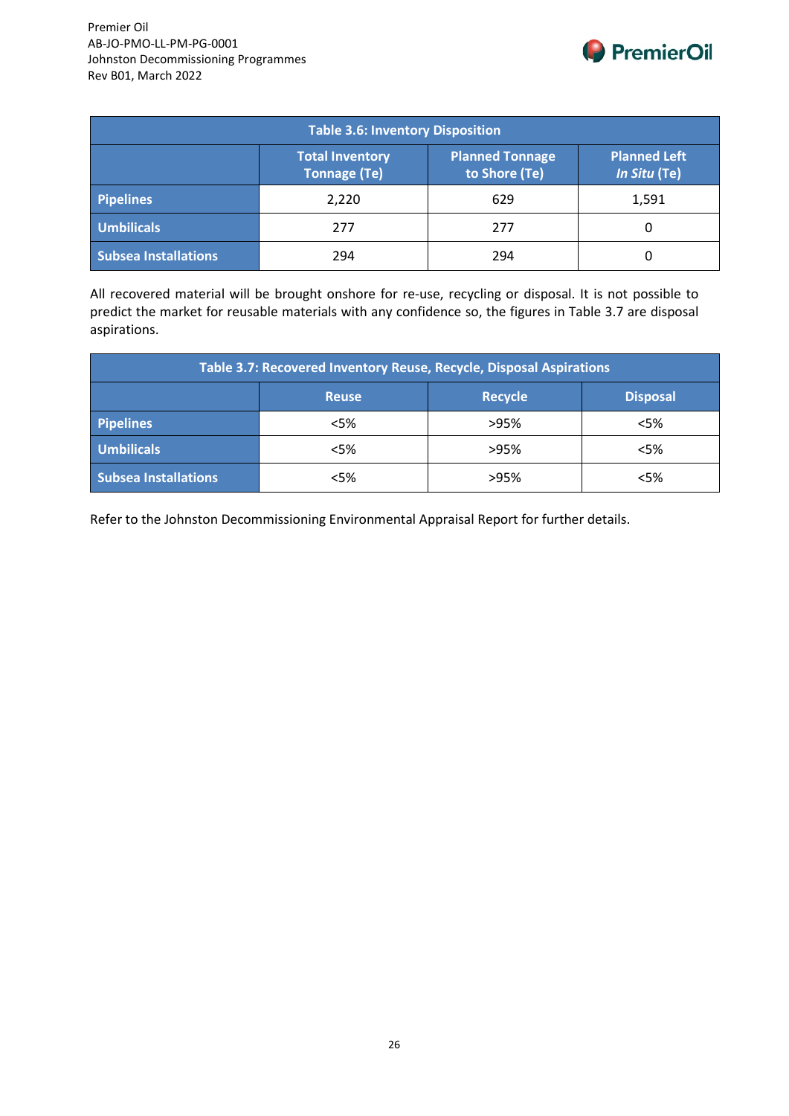

| <b>Table 3.6: Inventory Disposition</b>                                                                                         |       |     |       |  |
|---------------------------------------------------------------------------------------------------------------------------------|-------|-----|-------|--|
| <b>Planned Tonnage</b><br><b>Planned Left</b><br><b>Total Inventory</b><br>to Shore (Te)<br><b>Tonnage (Te)</b><br>In Situ (Te) |       |     |       |  |
| <b>Pipelines</b>                                                                                                                | 2,220 | 629 | 1,591 |  |
| <b>Umbilicals</b>                                                                                                               | 277   | 277 |       |  |
| <b>Subsea Installations</b>                                                                                                     | 294   | 294 |       |  |

All recovered material will be brought onshore for re-use, recycling or disposal. It is not possible to predict the market for reusable materials with any confidence so, the figures in Table 3.7 are disposal aspirations.

| Table 3.7: Recovered Inventory Reuse, Recycle, Disposal Aspirations |        |      |        |
|---------------------------------------------------------------------|--------|------|--------|
| <b>Disposal</b><br><b>Recycle</b><br><b>Reuse</b>                   |        |      |        |
| <b>Pipelines</b>                                                    | $<$ 5% | >95% | $<$ 5% |
| <b>Umbilicals</b>                                                   | $<$ 5% | >95% | <5%    |
| <b>Subsea Installations</b>                                         | $<$ 5% | >95% | $<$ 5% |

Refer to the Johnston Decommissioning Environmental Appraisal Report for further details.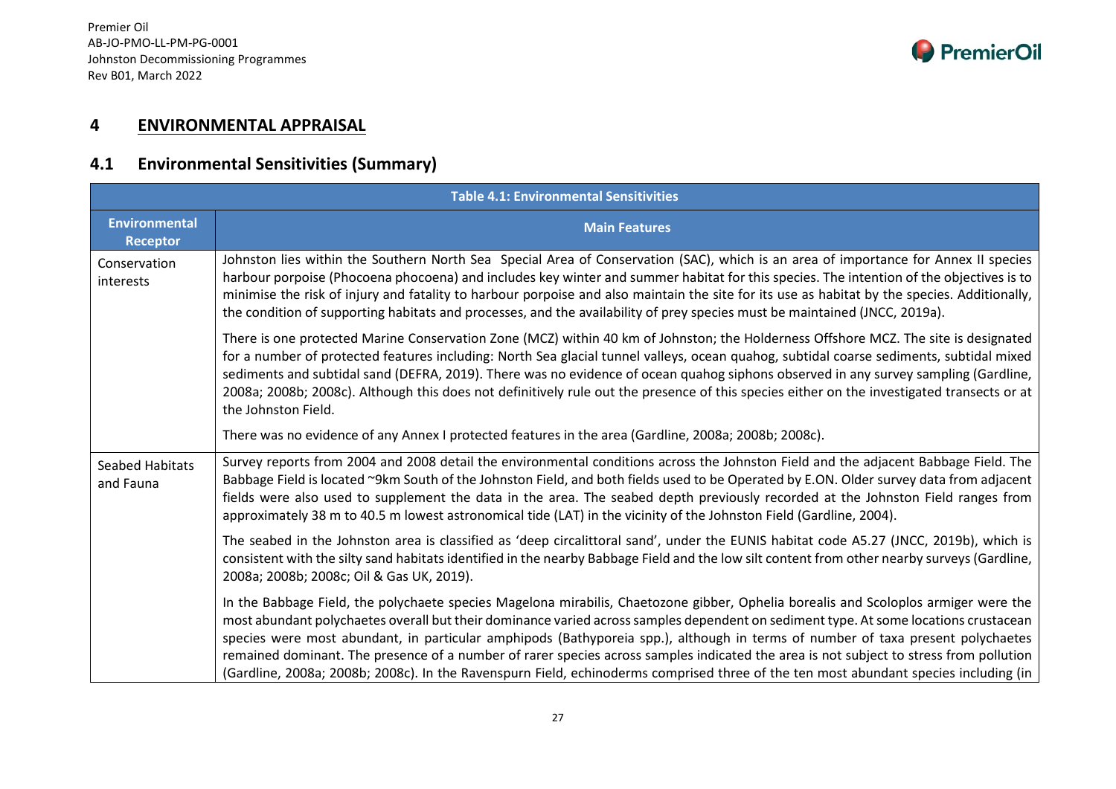

## **4 ENVIRONMENTAL APPRAISAL**

## **4.1 Environmental Sensitivities (Summary)**

|                                         | <b>Table 4.1: Environmental Sensitivities</b>                                                                                                                                                                                                                                                                                                                                                                                                                                                                                                                                                                                                                                                    |  |  |
|-----------------------------------------|--------------------------------------------------------------------------------------------------------------------------------------------------------------------------------------------------------------------------------------------------------------------------------------------------------------------------------------------------------------------------------------------------------------------------------------------------------------------------------------------------------------------------------------------------------------------------------------------------------------------------------------------------------------------------------------------------|--|--|
| <b>Environmental</b><br><b>Receptor</b> | <b>Main Features</b>                                                                                                                                                                                                                                                                                                                                                                                                                                                                                                                                                                                                                                                                             |  |  |
| Conservation<br>interests               | Johnston lies within the Southern North Sea Special Area of Conservation (SAC), which is an area of importance for Annex II species<br>harbour porpoise (Phocoena phocoena) and includes key winter and summer habitat for this species. The intention of the objectives is to<br>minimise the risk of injury and fatality to harbour porpoise and also maintain the site for its use as habitat by the species. Additionally,<br>the condition of supporting habitats and processes, and the availability of prey species must be maintained (JNCC, 2019a).                                                                                                                                     |  |  |
|                                         | There is one protected Marine Conservation Zone (MCZ) within 40 km of Johnston; the Holderness Offshore MCZ. The site is designated<br>for a number of protected features including: North Sea glacial tunnel valleys, ocean quahog, subtidal coarse sediments, subtidal mixed<br>sediments and subtidal sand (DEFRA, 2019). There was no evidence of ocean quahog siphons observed in any survey sampling (Gardline,<br>2008a; 2008b; 2008c). Although this does not definitively rule out the presence of this species either on the investigated transects or at<br>the Johnston Field.                                                                                                       |  |  |
|                                         | There was no evidence of any Annex I protected features in the area (Gardline, 2008a; 2008b; 2008c).                                                                                                                                                                                                                                                                                                                                                                                                                                                                                                                                                                                             |  |  |
| <b>Seabed Habitats</b><br>and Fauna     | Survey reports from 2004 and 2008 detail the environmental conditions across the Johnston Field and the adjacent Babbage Field. The<br>Babbage Field is located ~9km South of the Johnston Field, and both fields used to be Operated by E.ON. Older survey data from adjacent<br>fields were also used to supplement the data in the area. The seabed depth previously recorded at the Johnston Field ranges from<br>approximately 38 m to 40.5 m lowest astronomical tide (LAT) in the vicinity of the Johnston Field (Gardline, 2004).                                                                                                                                                        |  |  |
|                                         | The seabed in the Johnston area is classified as 'deep circalittoral sand', under the EUNIS habitat code A5.27 (JNCC, 2019b), which is<br>consistent with the silty sand habitats identified in the nearby Babbage Field and the low silt content from other nearby surveys (Gardline,<br>2008a; 2008b; 2008c; Oil & Gas UK, 2019).                                                                                                                                                                                                                                                                                                                                                              |  |  |
|                                         | In the Babbage Field, the polychaete species Magelona mirabilis, Chaetozone gibber, Ophelia borealis and Scoloplos armiger were the<br>most abundant polychaetes overall but their dominance varied across samples dependent on sediment type. At some locations crustacean<br>species were most abundant, in particular amphipods (Bathyporeia spp.), although in terms of number of taxa present polychaetes<br>remained dominant. The presence of a number of rarer species across samples indicated the area is not subject to stress from pollution<br>(Gardline, 2008a; 2008b; 2008c). In the Ravenspurn Field, echinoderms comprised three of the ten most abundant species including (in |  |  |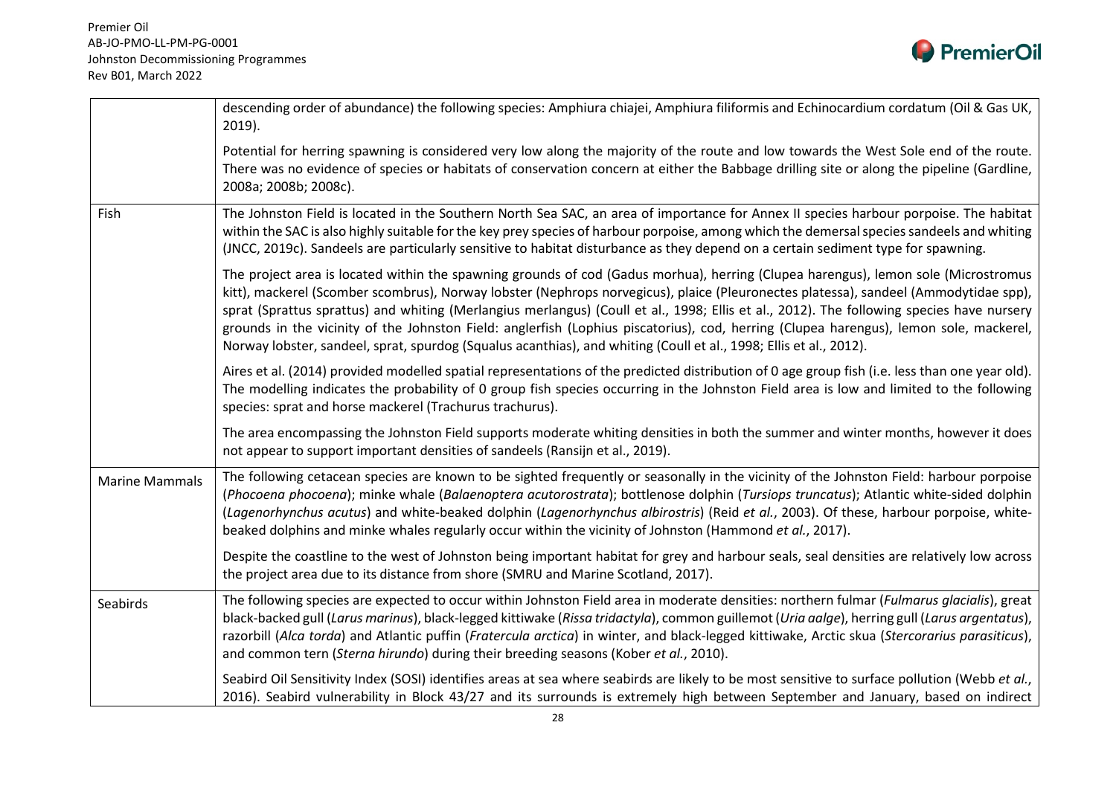

|                       | descending order of abundance) the following species: Amphiura chiajei, Amphiura filiformis and Echinocardium cordatum (Oil & Gas UK,<br>$2019$ ).                                                                                                                                                                                                                                                                                                                                                                                                                                                                                                                                      |
|-----------------------|-----------------------------------------------------------------------------------------------------------------------------------------------------------------------------------------------------------------------------------------------------------------------------------------------------------------------------------------------------------------------------------------------------------------------------------------------------------------------------------------------------------------------------------------------------------------------------------------------------------------------------------------------------------------------------------------|
|                       | Potential for herring spawning is considered very low along the majority of the route and low towards the West Sole end of the route.<br>There was no evidence of species or habitats of conservation concern at either the Babbage drilling site or along the pipeline (Gardline,<br>2008a; 2008b; 2008c).                                                                                                                                                                                                                                                                                                                                                                             |
| Fish                  | The Johnston Field is located in the Southern North Sea SAC, an area of importance for Annex II species harbour porpoise. The habitat<br>within the SAC is also highly suitable for the key prey species of harbour porpoise, among which the demersal species sandeels and whiting<br>(JNCC, 2019c). Sandeels are particularly sensitive to habitat disturbance as they depend on a certain sediment type for spawning.                                                                                                                                                                                                                                                                |
|                       | The project area is located within the spawning grounds of cod (Gadus morhua), herring (Clupea harengus), lemon sole (Microstromus<br>kitt), mackerel (Scomber scombrus), Norway lobster (Nephrops norvegicus), plaice (Pleuronectes platessa), sandeel (Ammodytidae spp),<br>sprat (Sprattus sprattus) and whiting (Merlangius merlangus) (Coull et al., 1998; Ellis et al., 2012). The following species have nursery<br>grounds in the vicinity of the Johnston Field: anglerfish (Lophius piscatorius), cod, herring (Clupea harengus), lemon sole, mackerel,<br>Norway lobster, sandeel, sprat, spurdog (Squalus acanthias), and whiting (Coull et al., 1998; Ellis et al., 2012). |
|                       | Aires et al. (2014) provided modelled spatial representations of the predicted distribution of 0 age group fish (i.e. less than one year old).<br>The modelling indicates the probability of 0 group fish species occurring in the Johnston Field area is low and limited to the following<br>species: sprat and horse mackerel (Trachurus trachurus).                                                                                                                                                                                                                                                                                                                                  |
|                       | The area encompassing the Johnston Field supports moderate whiting densities in both the summer and winter months, however it does<br>not appear to support important densities of sandeels (Ransijn et al., 2019).                                                                                                                                                                                                                                                                                                                                                                                                                                                                     |
| <b>Marine Mammals</b> | The following cetacean species are known to be sighted frequently or seasonally in the vicinity of the Johnston Field: harbour porpoise<br>(Phocoena phocoena); minke whale (Balaenoptera acutorostrata); bottlenose dolphin (Tursiops truncatus); Atlantic white-sided dolphin<br>(Lagenorhynchus acutus) and white-beaked dolphin (Lagenorhynchus albirostris) (Reid et al., 2003). Of these, harbour porpoise, white-<br>beaked dolphins and minke whales regularly occur within the vicinity of Johnston (Hammond et al., 2017).                                                                                                                                                    |
|                       | Despite the coastline to the west of Johnston being important habitat for grey and harbour seals, seal densities are relatively low across<br>the project area due to its distance from shore (SMRU and Marine Scotland, 2017).                                                                                                                                                                                                                                                                                                                                                                                                                                                         |
| Seabirds              | The following species are expected to occur within Johnston Field area in moderate densities: northern fulmar (Fulmarus glacialis), great<br>black-backed gull (Larus marinus), black-legged kittiwake (Rissa tridactyla), common guillemot (Uria aalge), herring gull (Larus argentatus),<br>razorbill (Alca torda) and Atlantic puffin (Fratercula arctica) in winter, and black-legged kittiwake, Arctic skua (Stercorarius parasiticus),<br>and common tern (Sterna hirundo) during their breeding seasons (Kober et al., 2010).                                                                                                                                                    |
|                       | Seabird Oil Sensitivity Index (SOSI) identifies areas at sea where seabirds are likely to be most sensitive to surface pollution (Webb et al.,<br>2016). Seabird vulnerability in Block 43/27 and its surrounds is extremely high between September and January, based on indirect                                                                                                                                                                                                                                                                                                                                                                                                      |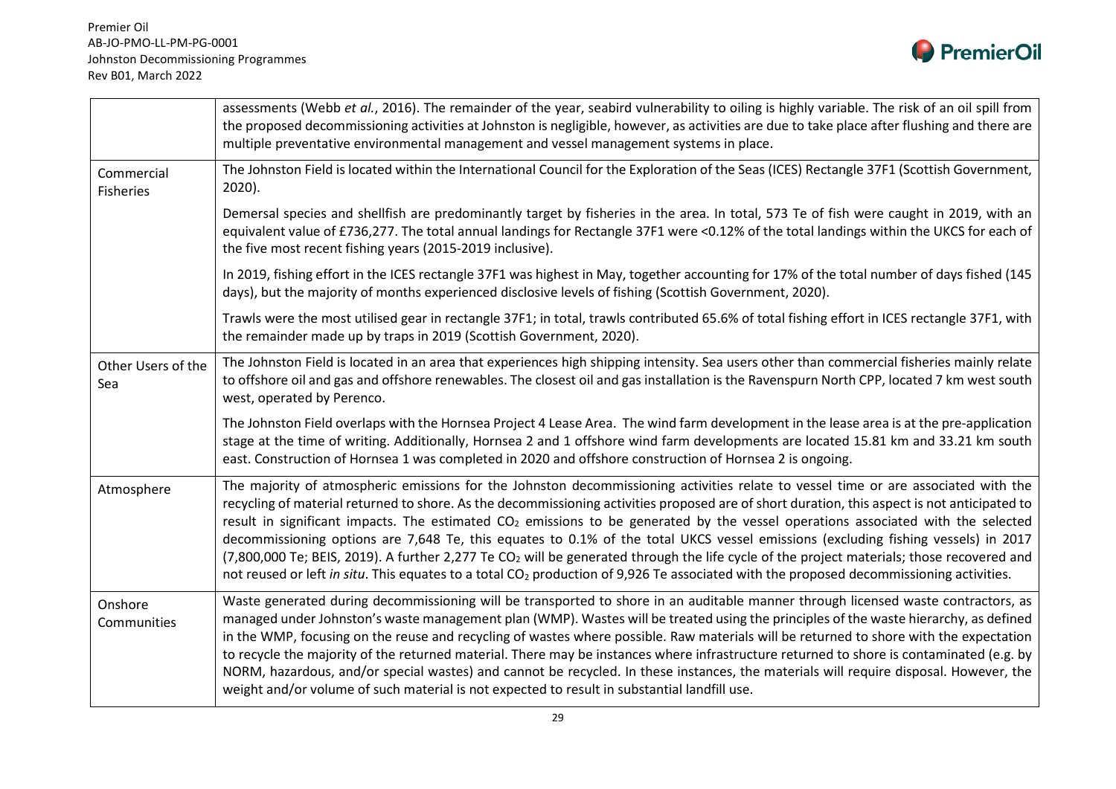

|                                | assessments (Webb et al., 2016). The remainder of the year, seabird vulnerability to oiling is highly variable. The risk of an oil spill from<br>the proposed decommissioning activities at Johnston is negligible, however, as activities are due to take place after flushing and there are<br>multiple preventative environmental management and vessel management systems in place.                                                                                                                                                                                                                                                                                                                                                                                                                                                                                                 |
|--------------------------------|-----------------------------------------------------------------------------------------------------------------------------------------------------------------------------------------------------------------------------------------------------------------------------------------------------------------------------------------------------------------------------------------------------------------------------------------------------------------------------------------------------------------------------------------------------------------------------------------------------------------------------------------------------------------------------------------------------------------------------------------------------------------------------------------------------------------------------------------------------------------------------------------|
| Commercial<br><b>Fisheries</b> | The Johnston Field is located within the International Council for the Exploration of the Seas (ICES) Rectangle 37F1 (Scottish Government,<br>$2020$ ).                                                                                                                                                                                                                                                                                                                                                                                                                                                                                                                                                                                                                                                                                                                                 |
|                                | Demersal species and shellfish are predominantly target by fisheries in the area. In total, 573 Te of fish were caught in 2019, with an<br>equivalent value of £736,277. The total annual landings for Rectangle 37F1 were <0.12% of the total landings within the UKCS for each of<br>the five most recent fishing years (2015-2019 inclusive).                                                                                                                                                                                                                                                                                                                                                                                                                                                                                                                                        |
|                                | In 2019, fishing effort in the ICES rectangle 37F1 was highest in May, together accounting for 17% of the total number of days fished (145<br>days), but the majority of months experienced disclosive levels of fishing (Scottish Government, 2020).                                                                                                                                                                                                                                                                                                                                                                                                                                                                                                                                                                                                                                   |
|                                | Trawls were the most utilised gear in rectangle 37F1; in total, trawls contributed 65.6% of total fishing effort in ICES rectangle 37F1, with<br>the remainder made up by traps in 2019 (Scottish Government, 2020).                                                                                                                                                                                                                                                                                                                                                                                                                                                                                                                                                                                                                                                                    |
| Other Users of the<br>Sea      | The Johnston Field is located in an area that experiences high shipping intensity. Sea users other than commercial fisheries mainly relate<br>to offshore oil and gas and offshore renewables. The closest oil and gas installation is the Ravenspurn North CPP, located 7 km west south<br>west, operated by Perenco.                                                                                                                                                                                                                                                                                                                                                                                                                                                                                                                                                                  |
|                                | The Johnston Field overlaps with the Hornsea Project 4 Lease Area. The wind farm development in the lease area is at the pre-application<br>stage at the time of writing. Additionally, Hornsea 2 and 1 offshore wind farm developments are located 15.81 km and 33.21 km south<br>east. Construction of Hornsea 1 was completed in 2020 and offshore construction of Hornsea 2 is ongoing.                                                                                                                                                                                                                                                                                                                                                                                                                                                                                             |
| Atmosphere                     | The majority of atmospheric emissions for the Johnston decommissioning activities relate to vessel time or are associated with the<br>recycling of material returned to shore. As the decommissioning activities proposed are of short duration, this aspect is not anticipated to<br>result in significant impacts. The estimated CO <sub>2</sub> emissions to be generated by the vessel operations associated with the selected<br>decommissioning options are 7,648 Te, this equates to 0.1% of the total UKCS vessel emissions (excluding fishing vessels) in 2017<br>(7,800,000 Te; BEIS, 2019). A further 2,277 Te CO <sub>2</sub> will be generated through the life cycle of the project materials; those recovered and<br>not reused or left in situ. This equates to a total CO <sub>2</sub> production of 9,926 Te associated with the proposed decommissioning activities. |
| Onshore<br>Communities         | Waste generated during decommissioning will be transported to shore in an auditable manner through licensed waste contractors, as<br>managed under Johnston's waste management plan (WMP). Wastes will be treated using the principles of the waste hierarchy, as defined<br>in the WMP, focusing on the reuse and recycling of wastes where possible. Raw materials will be returned to shore with the expectation<br>to recycle the majority of the returned material. There may be instances where infrastructure returned to shore is contaminated (e.g. by<br>NORM, hazardous, and/or special wastes) and cannot be recycled. In these instances, the materials will require disposal. However, the<br>weight and/or volume of such material is not expected to result in substantial landfill use.                                                                                |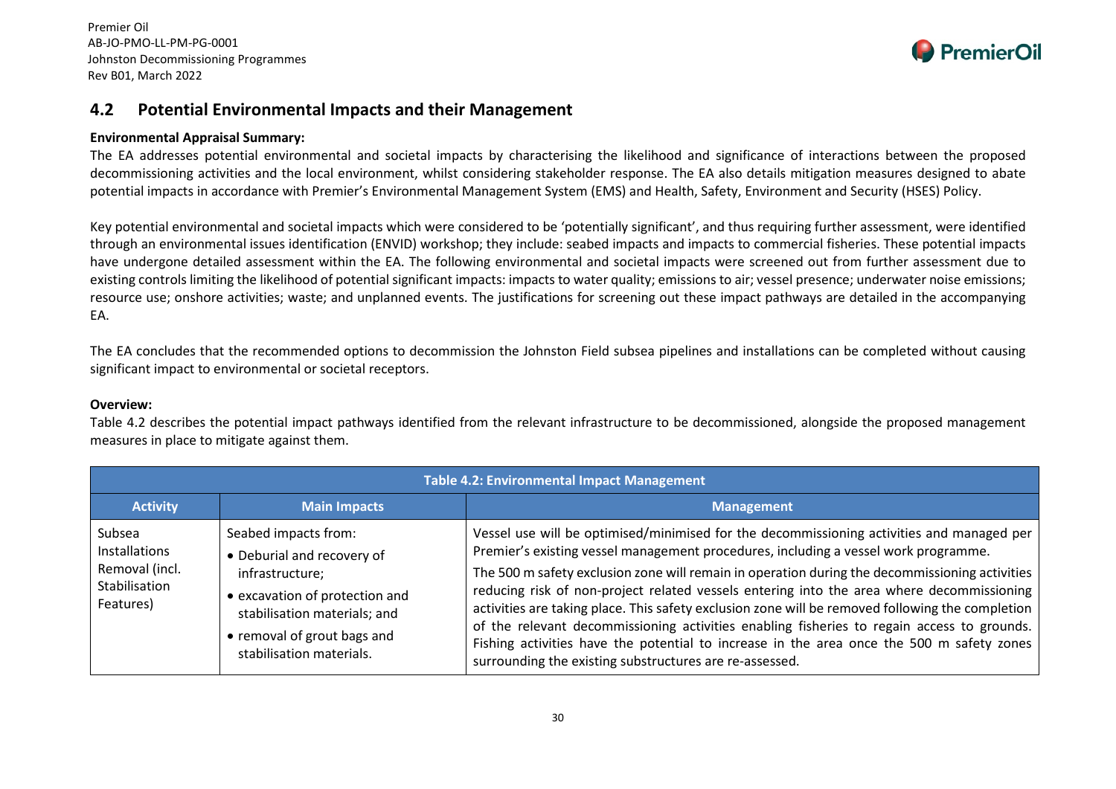

#### **4.2 Potential Environmental Impacts and their Management**

#### **Environmental Appraisal Summary:**

The EA addresses potential environmental and societal impacts by characterising the likelihood and significance of interactions between the proposed decommissioning activities and the local environment, whilst considering stakeholder response. The EA also details mitigation measures designed to abate potential impacts in accordance with Premier's Environmental Management System (EMS) and Health, Safety, Environment and Security (HSES) Policy.

Key potential environmental and societal impacts which were considered to be 'potentially significant', and thus requiring further assessment, were identified through an environmental issues identification (ENVID) workshop; they include: seabed impacts and impacts to commercial fisheries. These potential impacts have undergone detailed assessment within the EA. The following environmental and societal impacts were screened out from further assessment due to existing controls limiting the likelihood of potential significant impacts: impacts to water quality; emissions to air; vessel presence; underwater noise emissions; resource use; onshore activities; waste; and unplanned events. The justifications for screening out these impact pathways are detailed in the accompanying EA.

The EA concludes that the recommended options to decommission the Johnston Field subsea pipelines and installations can be completed without causing significant impact to environmental or societal receptors.

#### **Overview:**

Table 4.2 describes the potential impact pathways identified from the relevant infrastructure to be decommissioned, alongside the proposed management measures in place to mitigate against them.

| <b>Table 4.2: Environmental Impact Management</b>                              |                                                                                                                                                                                                    |                                                                                                                                                                                                                                                                                                                                                                                                                                                                                                                                                                                                                                                                                                                                           |  |
|--------------------------------------------------------------------------------|----------------------------------------------------------------------------------------------------------------------------------------------------------------------------------------------------|-------------------------------------------------------------------------------------------------------------------------------------------------------------------------------------------------------------------------------------------------------------------------------------------------------------------------------------------------------------------------------------------------------------------------------------------------------------------------------------------------------------------------------------------------------------------------------------------------------------------------------------------------------------------------------------------------------------------------------------------|--|
| <b>Activity</b>                                                                | <b>Main Impacts</b>                                                                                                                                                                                | <b>Management</b>                                                                                                                                                                                                                                                                                                                                                                                                                                                                                                                                                                                                                                                                                                                         |  |
| Subsea<br><b>Installations</b><br>Removal (incl.<br>Stabilisation<br>Features) | Seabed impacts from:<br>• Deburial and recovery of<br>infrastructure;<br>• excavation of protection and<br>stabilisation materials; and<br>• removal of grout bags and<br>stabilisation materials. | Vessel use will be optimised/minimised for the decommissioning activities and managed per<br>Premier's existing vessel management procedures, including a vessel work programme.<br>The 500 m safety exclusion zone will remain in operation during the decommissioning activities<br>reducing risk of non-project related vessels entering into the area where decommissioning<br>activities are taking place. This safety exclusion zone will be removed following the completion<br>of the relevant decommissioning activities enabling fisheries to regain access to grounds.<br>Fishing activities have the potential to increase in the area once the 500 m safety zones<br>surrounding the existing substructures are re-assessed. |  |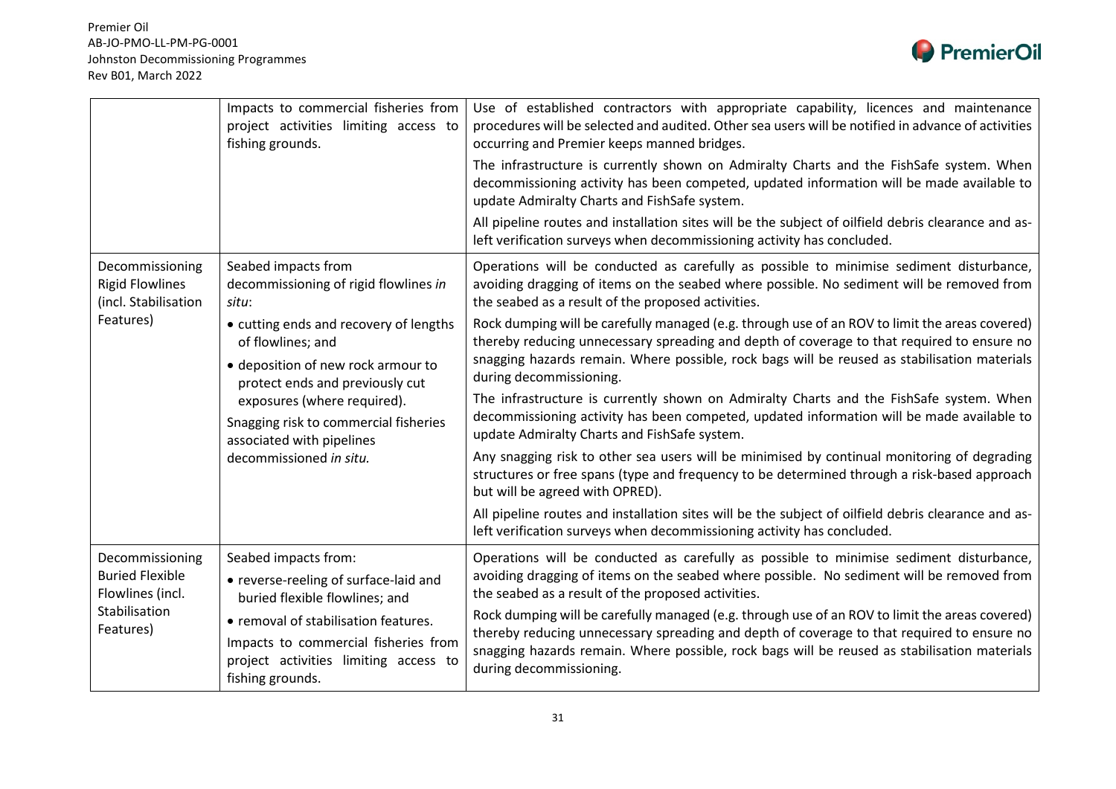

|                                                                                             | Impacts to commercial fisheries from<br>project activities limiting access to<br>fishing grounds.                                                                                                                                                                    | Use of established contractors with appropriate capability, licences and maintenance<br>procedures will be selected and audited. Other sea users will be notified in advance of activities<br>occurring and Premier keeps manned bridges.                                                                               |
|---------------------------------------------------------------------------------------------|----------------------------------------------------------------------------------------------------------------------------------------------------------------------------------------------------------------------------------------------------------------------|-------------------------------------------------------------------------------------------------------------------------------------------------------------------------------------------------------------------------------------------------------------------------------------------------------------------------|
|                                                                                             |                                                                                                                                                                                                                                                                      | The infrastructure is currently shown on Admiralty Charts and the FishSafe system. When<br>decommissioning activity has been competed, updated information will be made available to<br>update Admiralty Charts and FishSafe system.                                                                                    |
|                                                                                             |                                                                                                                                                                                                                                                                      | All pipeline routes and installation sites will be the subject of oilfield debris clearance and as-<br>left verification surveys when decommissioning activity has concluded.                                                                                                                                           |
| Decommissioning<br><b>Rigid Flowlines</b><br>(incl. Stabilisation<br>Features)              | Seabed impacts from<br>decommissioning of rigid flowlines in<br>situ:                                                                                                                                                                                                | Operations will be conducted as carefully as possible to minimise sediment disturbance,<br>avoiding dragging of items on the seabed where possible. No sediment will be removed from<br>the seabed as a result of the proposed activities.                                                                              |
|                                                                                             | • cutting ends and recovery of lengths<br>of flowlines; and<br>• deposition of new rock armour to<br>protect ends and previously cut<br>exposures (where required).<br>Snagging risk to commercial fisheries<br>associated with pipelines<br>decommissioned in situ. | Rock dumping will be carefully managed (e.g. through use of an ROV to limit the areas covered)<br>thereby reducing unnecessary spreading and depth of coverage to that required to ensure no<br>snagging hazards remain. Where possible, rock bags will be reused as stabilisation materials<br>during decommissioning. |
|                                                                                             |                                                                                                                                                                                                                                                                      | The infrastructure is currently shown on Admiralty Charts and the FishSafe system. When<br>decommissioning activity has been competed, updated information will be made available to<br>update Admiralty Charts and FishSafe system.                                                                                    |
|                                                                                             |                                                                                                                                                                                                                                                                      | Any snagging risk to other sea users will be minimised by continual monitoring of degrading<br>structures or free spans (type and frequency to be determined through a risk-based approach<br>but will be agreed with OPRED).                                                                                           |
|                                                                                             |                                                                                                                                                                                                                                                                      | All pipeline routes and installation sites will be the subject of oilfield debris clearance and as-<br>left verification surveys when decommissioning activity has concluded.                                                                                                                                           |
| Decommissioning<br><b>Buried Flexible</b><br>Flowlines (incl.<br>Stabilisation<br>Features) | Seabed impacts from:<br>• reverse-reeling of surface-laid and<br>buried flexible flowlines; and                                                                                                                                                                      | Operations will be conducted as carefully as possible to minimise sediment disturbance,<br>avoiding dragging of items on the seabed where possible. No sediment will be removed from<br>the seabed as a result of the proposed activities.                                                                              |
|                                                                                             | • removal of stabilisation features.<br>Impacts to commercial fisheries from<br>project activities limiting access to<br>fishing grounds.                                                                                                                            | Rock dumping will be carefully managed (e.g. through use of an ROV to limit the areas covered)<br>thereby reducing unnecessary spreading and depth of coverage to that required to ensure no<br>snagging hazards remain. Where possible, rock bags will be reused as stabilisation materials<br>during decommissioning. |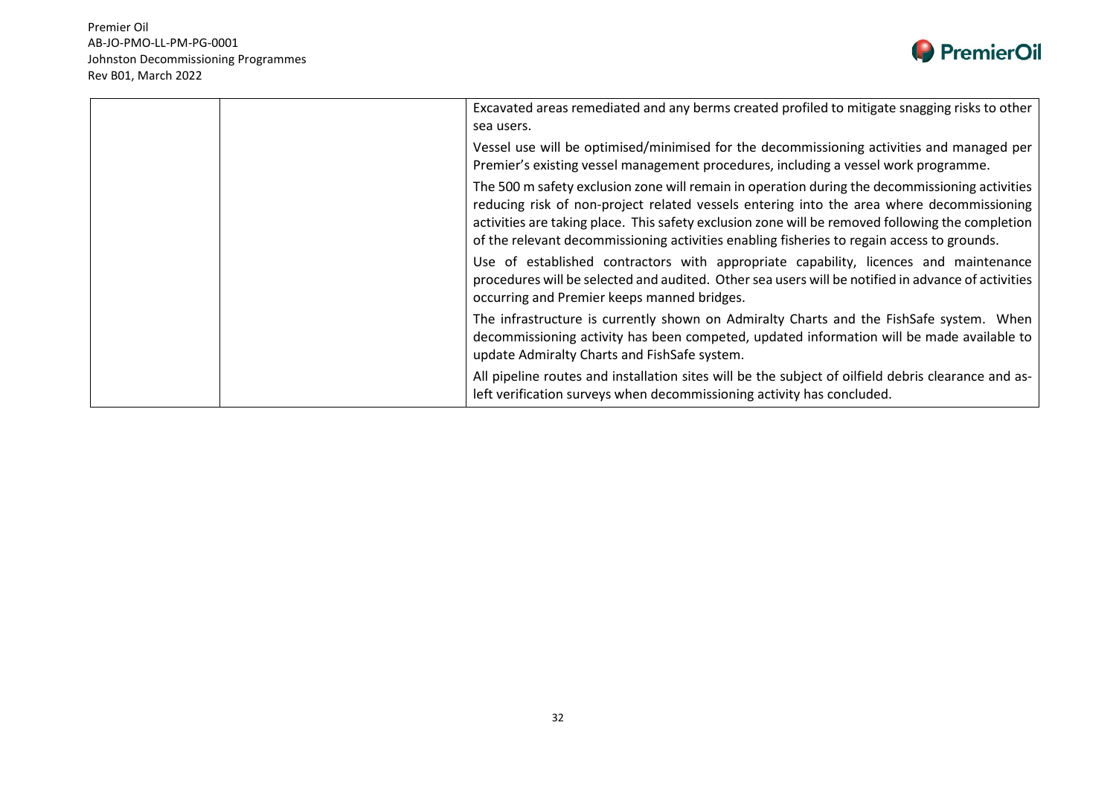

|  | Excavated areas remediated and any berms created profiled to mitigate snagging risks to other<br>sea users.                                                                                                                                                                                                                                                                                   |
|--|-----------------------------------------------------------------------------------------------------------------------------------------------------------------------------------------------------------------------------------------------------------------------------------------------------------------------------------------------------------------------------------------------|
|  | Vessel use will be optimised/minimised for the decommissioning activities and managed per<br>Premier's existing vessel management procedures, including a vessel work programme.                                                                                                                                                                                                              |
|  | The 500 m safety exclusion zone will remain in operation during the decommissioning activities<br>reducing risk of non-project related vessels entering into the area where decommissioning<br>activities are taking place. This safety exclusion zone will be removed following the completion<br>of the relevant decommissioning activities enabling fisheries to regain access to grounds. |
|  | Use of established contractors with appropriate capability, licences and maintenance<br>procedures will be selected and audited. Other sea users will be notified in advance of activities<br>occurring and Premier keeps manned bridges.                                                                                                                                                     |
|  | The infrastructure is currently shown on Admiralty Charts and the FishSafe system. When<br>decommissioning activity has been competed, updated information will be made available to<br>update Admiralty Charts and FishSafe system.                                                                                                                                                          |
|  | All pipeline routes and installation sites will be the subject of oilfield debris clearance and as-<br>left verification surveys when decommissioning activity has concluded.                                                                                                                                                                                                                 |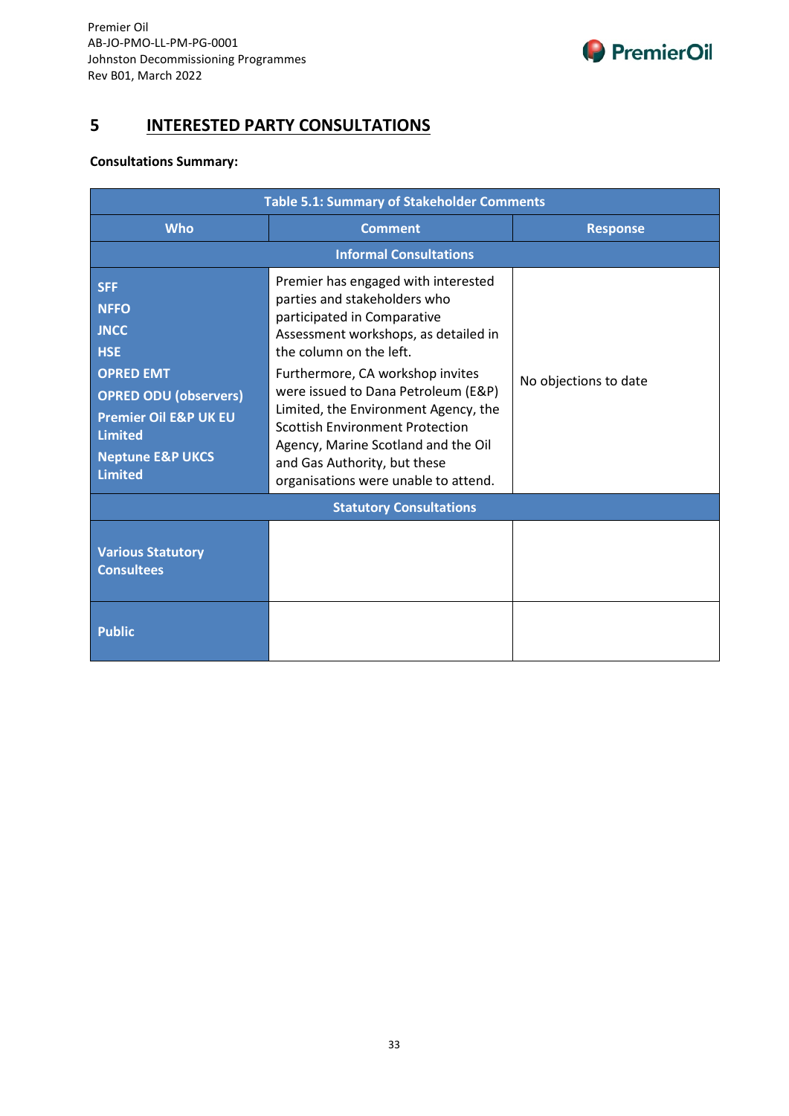

## **5 INTERESTED PARTY CONSULTATIONS**

#### **Consultations Summary:**

| <b>Table 5.1: Summary of Stakeholder Comments</b>                                                                                                                                                                 |                                                                                                                                                                                                                                                                                                                                                                                                                                                   |                       |  |  |  |
|-------------------------------------------------------------------------------------------------------------------------------------------------------------------------------------------------------------------|---------------------------------------------------------------------------------------------------------------------------------------------------------------------------------------------------------------------------------------------------------------------------------------------------------------------------------------------------------------------------------------------------------------------------------------------------|-----------------------|--|--|--|
| <b>Who</b>                                                                                                                                                                                                        | <b>Comment</b>                                                                                                                                                                                                                                                                                                                                                                                                                                    | <b>Response</b>       |  |  |  |
|                                                                                                                                                                                                                   | <b>Informal Consultations</b>                                                                                                                                                                                                                                                                                                                                                                                                                     |                       |  |  |  |
| <b>SFF</b><br><b>NFFO</b><br><b>JNCC</b><br><b>HSE</b><br><b>OPRED EMT</b><br><b>OPRED ODU (observers)</b><br><b>Premier Oil E&amp;P UK EU</b><br><b>Limited</b><br><b>Neptune E&amp;P UKCS</b><br><b>Limited</b> | Premier has engaged with interested<br>parties and stakeholders who<br>participated in Comparative<br>Assessment workshops, as detailed in<br>the column on the left.<br>Furthermore, CA workshop invites<br>were issued to Dana Petroleum (E&P)<br>Limited, the Environment Agency, the<br><b>Scottish Environment Protection</b><br>Agency, Marine Scotland and the Oil<br>and Gas Authority, but these<br>organisations were unable to attend. | No objections to date |  |  |  |
| <b>Statutory Consultations</b>                                                                                                                                                                                    |                                                                                                                                                                                                                                                                                                                                                                                                                                                   |                       |  |  |  |
| <b>Various Statutory</b><br><b>Consultees</b>                                                                                                                                                                     |                                                                                                                                                                                                                                                                                                                                                                                                                                                   |                       |  |  |  |
| <b>Public</b>                                                                                                                                                                                                     |                                                                                                                                                                                                                                                                                                                                                                                                                                                   |                       |  |  |  |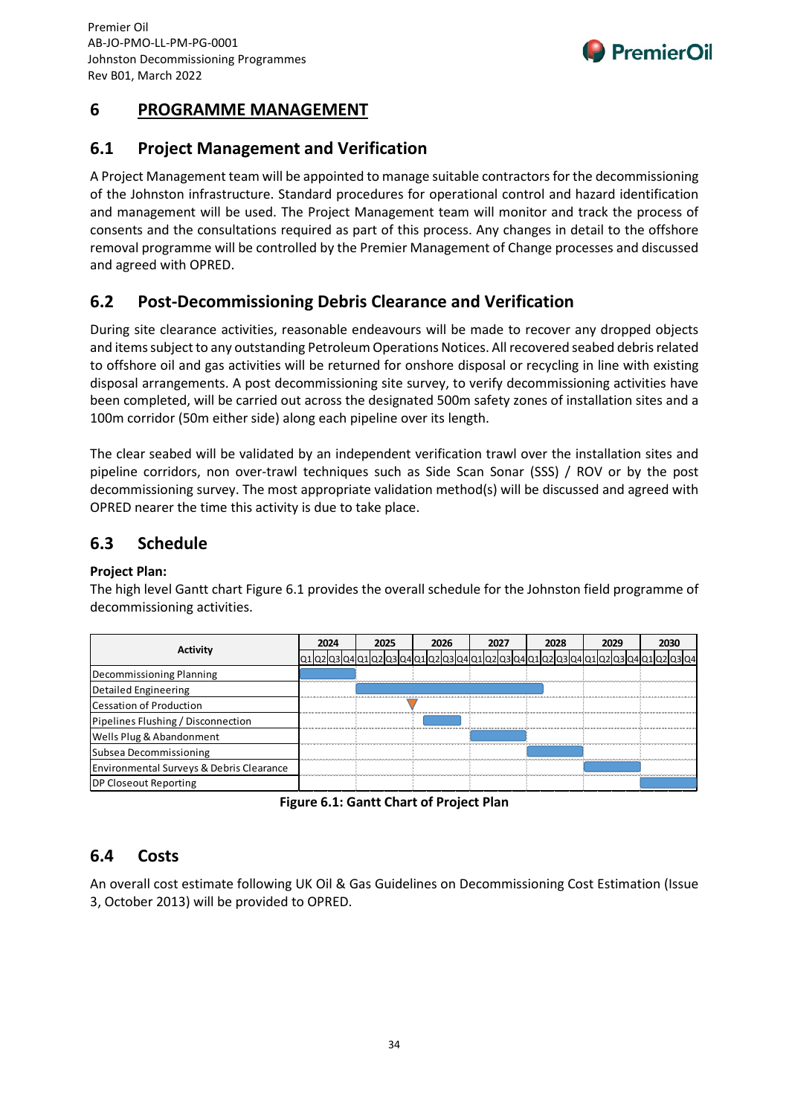

## **6 PROGRAMME MANAGEMENT**

## **6.1 Project Management and Verification**

A Project Management team will be appointed to manage suitable contractors for the decommissioning of the Johnston infrastructure. Standard procedures for operational control and hazard identification and management will be used. The Project Management team will monitor and track the process of consents and the consultations required as part of this process. Any changes in detail to the offshore removal programme will be controlled by the Premier Management of Change processes and discussed and agreed with OPRED.

## **6.2 Post-Decommissioning Debris Clearance and Verification**

During site clearance activities, reasonable endeavours will be made to recover any dropped objects and items subject to any outstanding Petroleum Operations Notices. All recovered seabed debris related to offshore oil and gas activities will be returned for onshore disposal or recycling in line with existing disposal arrangements. A post decommissioning site survey, to verify decommissioning activities have been completed, will be carried out across the designated 500m safety zones of installation sites and a 100m corridor (50m either side) along each pipeline over its length.

The clear seabed will be validated by an independent verification trawl over the installation sites and pipeline corridors, non over-trawl techniques such as Side Scan Sonar (SSS) / ROV or by the post decommissioning survey. The most appropriate validation method(s) will be discussed and agreed with OPRED nearer the time this activity is due to take place.

## **6.3 Schedule**

#### **Project Plan:**

The high level Gantt chart Figure 6.1 provides the overall schedule for the Johnston field programme of decommissioning activities.

| Activity                                            | 2024 | 2025                                                                                | 2026 | 2027 | 2028 | 2029 | 2030 |
|-----------------------------------------------------|------|-------------------------------------------------------------------------------------|------|------|------|------|------|
|                                                     |      | :1 02 03 04 01 02 03 04 01 02 03 04 01 02 03 04 01 02 03 04 01 02 03 04 01 02 03 04 |      |      |      |      |      |
| Decommissioning Planning                            |      |                                                                                     |      |      |      |      |      |
| Detailed Engineering                                |      |                                                                                     |      |      |      |      |      |
| Cessation of Production                             |      |                                                                                     |      |      |      |      |      |
| Pipelines Flushing / Disconnection                  |      |                                                                                     |      |      |      |      |      |
| Wells Plug & Abandonment                            |      |                                                                                     |      |      |      |      |      |
| Subsea Decommissioning                              |      |                                                                                     |      |      |      |      |      |
| <b>Environmental Surveys &amp; Debris Clearance</b> |      |                                                                                     |      |      |      |      |      |
| DP Closeout Reporting                               |      |                                                                                     |      |      |      |      |      |

**Figure 6.1: Gantt Chart of Project Plan**

## **6.4 Costs**

An overall cost estimate following UK Oil & Gas Guidelines on Decommissioning Cost Estimation (Issue 3, October 2013) will be provided to OPRED.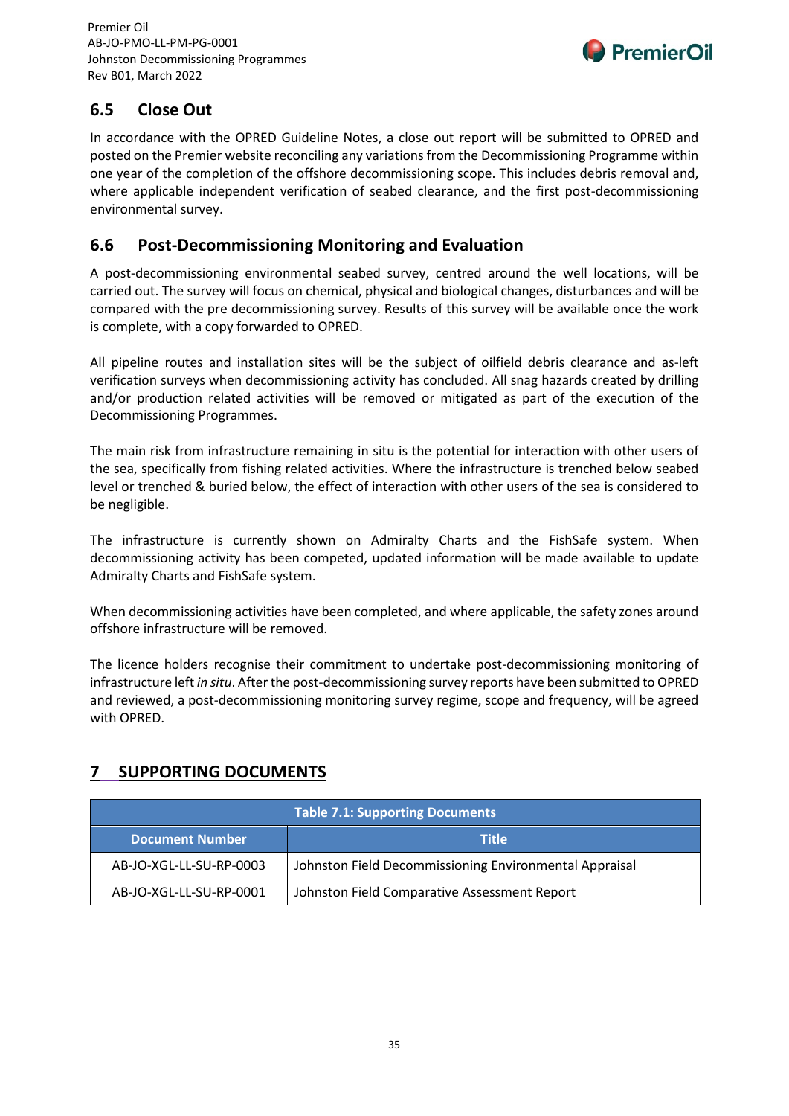

## **6.5 Close Out**

In accordance with the OPRED Guideline Notes, a close out report will be submitted to OPRED and posted on the Premier website reconciling any variations from the Decommissioning Programme within one year of the completion of the offshore decommissioning scope. This includes debris removal and, where applicable independent verification of seabed clearance, and the first post-decommissioning environmental survey.

## **6.6 Post-Decommissioning Monitoring and Evaluation**

A post-decommissioning environmental seabed survey, centred around the well locations, will be carried out. The survey will focus on chemical, physical and biological changes, disturbances and will be compared with the pre decommissioning survey. Results of this survey will be available once the work is complete, with a copy forwarded to OPRED.

All pipeline routes and installation sites will be the subject of oilfield debris clearance and as-left verification surveys when decommissioning activity has concluded. All snag hazards created by drilling and/or production related activities will be removed or mitigated as part of the execution of the Decommissioning Programmes.

The main risk from infrastructure remaining in situ is the potential for interaction with other users of the sea, specifically from fishing related activities. Where the infrastructure is trenched below seabed level or trenched & buried below, the effect of interaction with other users of the sea is considered to be negligible.

The infrastructure is currently shown on Admiralty Charts and the FishSafe system. When decommissioning activity has been competed, updated information will be made available to update Admiralty Charts and FishSafe system.

When decommissioning activities have been completed, and where applicable, the safety zones around offshore infrastructure will be removed.

The licence holders recognise their commitment to undertake post-decommissioning monitoring of infrastructure left *in situ*. After the post-decommissioning survey reports have been submitted to OPRED and reviewed, a post-decommissioning monitoring survey regime, scope and frequency, will be agreed with OPRED.

## **7 SUPPORTING DOCUMENTS**

| <b>Table 7.1: Supporting Documents</b> |                                                        |  |
|----------------------------------------|--------------------------------------------------------|--|
| <b>Document Number</b>                 | <b>Title</b>                                           |  |
| AB-JO-XGL-LL-SU-RP-0003                | Johnston Field Decommissioning Environmental Appraisal |  |
| AB-JO-XGL-LL-SU-RP-0001                | Johnston Field Comparative Assessment Report           |  |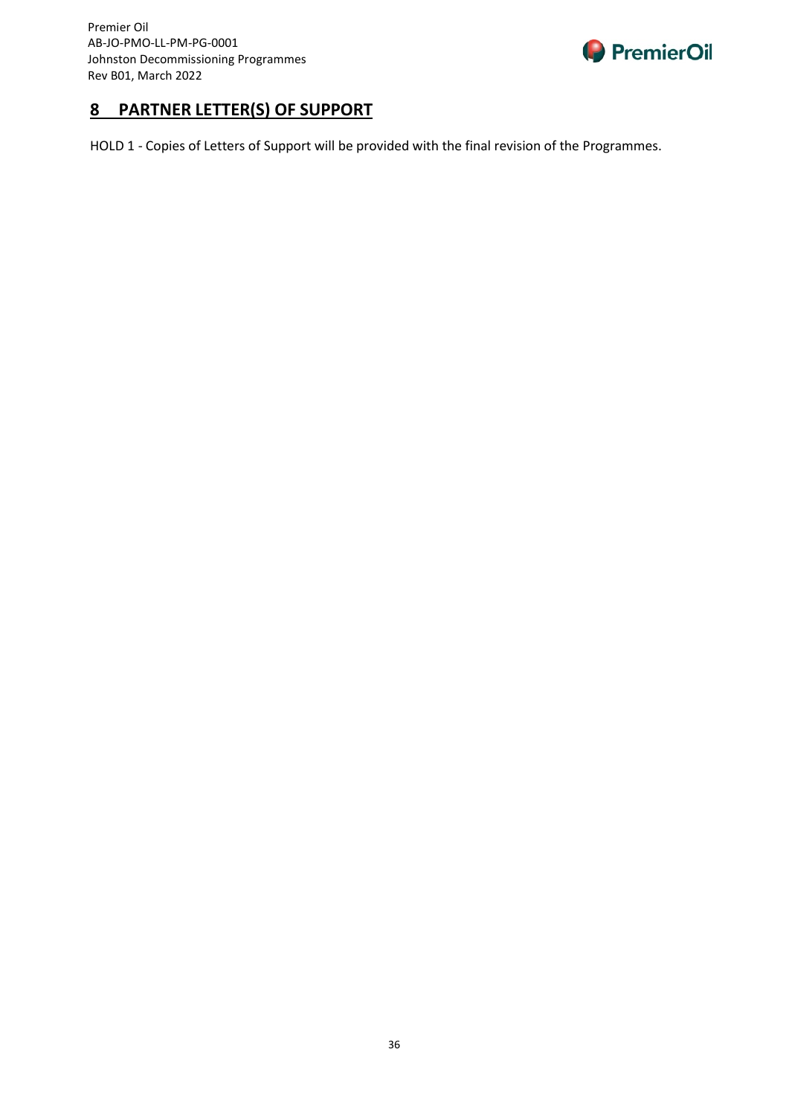

## <span id="page-36-0"></span>**8 PARTNER LETTER(S) OF SUPPORT**

HOLD 1 - Copies of Letters of Support will be provided with the final revision of the Programmes.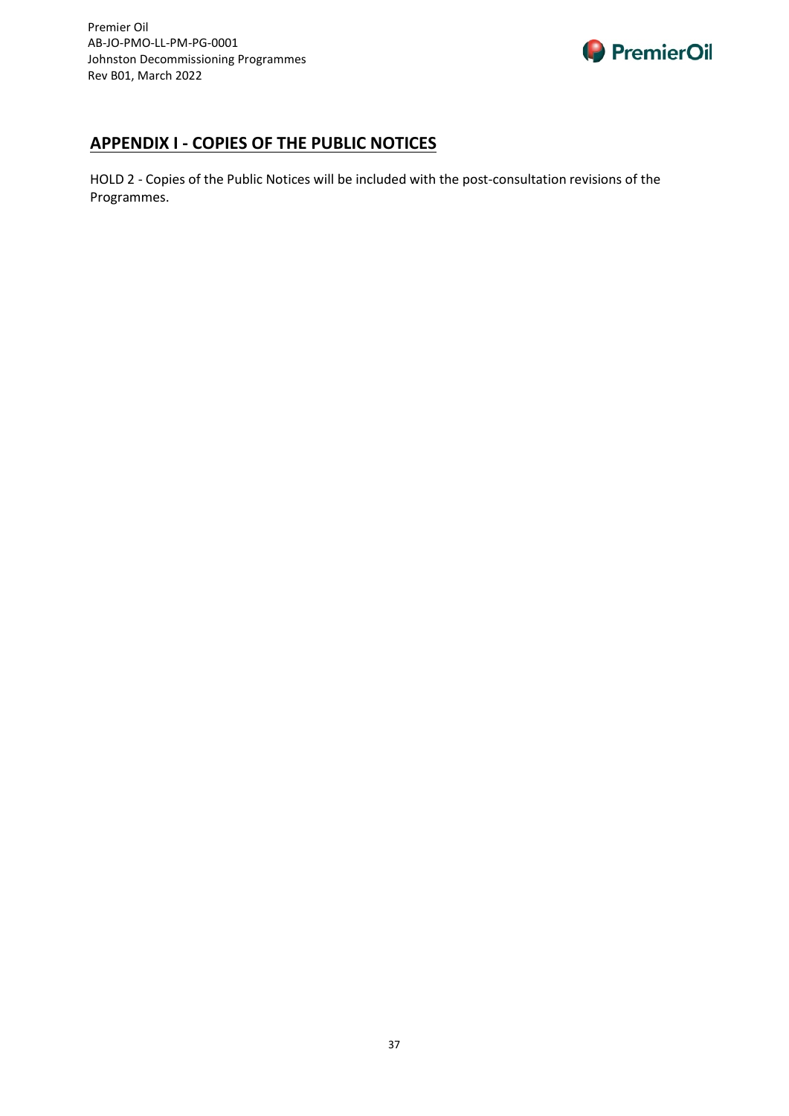

## <span id="page-37-0"></span>**APPENDIX I - COPIES OF THE PUBLIC NOTICES**

HOLD 2 - Copies of the Public Notices will be included with the post-consultation revisions of the Programmes.